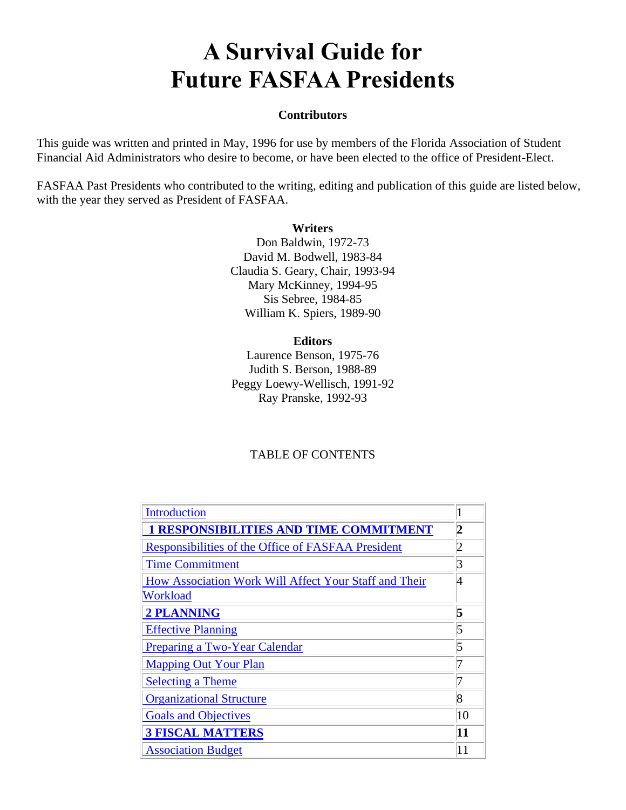# **A Survival Guide for Future FASFAA Presidents**

#### **Contributors**

This guide was written and printed in May, 1996 for use by members of the Florida Association of Student Financial Aid Administrators who desire to become, or have been elected to the office of President-Elect.

FASFAA Past Presidents who contributed to the writing, editing and publication of this guide are listed below, with the year they served as President of FASFAA.

#### **Writers**

Don Baldwin, 1972-73 David M. Bodwell, 1983-84 Claudia S. Geary, Chair, 1993-94 Mary McKinney, 1994-95 Sis Sebree, 1984-85 William K. Spiers, 1989-90

#### **Editors**

Laurence Benson, 1975-76 Judith S. Berson, 1988-89 Peggy Loewy-Wellisch, 1991-92 Ray Pranske, 1992-93

## TABLE OF CONTENTS

| Introduction                                          |    |
|-------------------------------------------------------|----|
| <b>I RESPONSIBILITIES AND TIME COMMITMENT</b>         | 2  |
| Responsibilities of the Office of FASFAA President    | 2  |
| <b>Time Commitment</b>                                | 3  |
| How Association Work Will Affect Your Staff and Their | 4  |
| Workload                                              |    |
| <b>2 PLANNING</b>                                     | 5  |
| <b>Effective Planning</b>                             | 5  |
| Preparing a Two-Year Calendar                         | 5  |
| <b>Mapping Out Your Plan</b>                          |    |
| <b>Selecting a Theme</b>                              | 7  |
| <b>Organizational Structure</b>                       | 8  |
| <b>Goals and Objectives</b>                           | 10 |
| <b>3 FISCAL MATTERS</b>                               | 11 |
| <b>Association Budget</b>                             | 11 |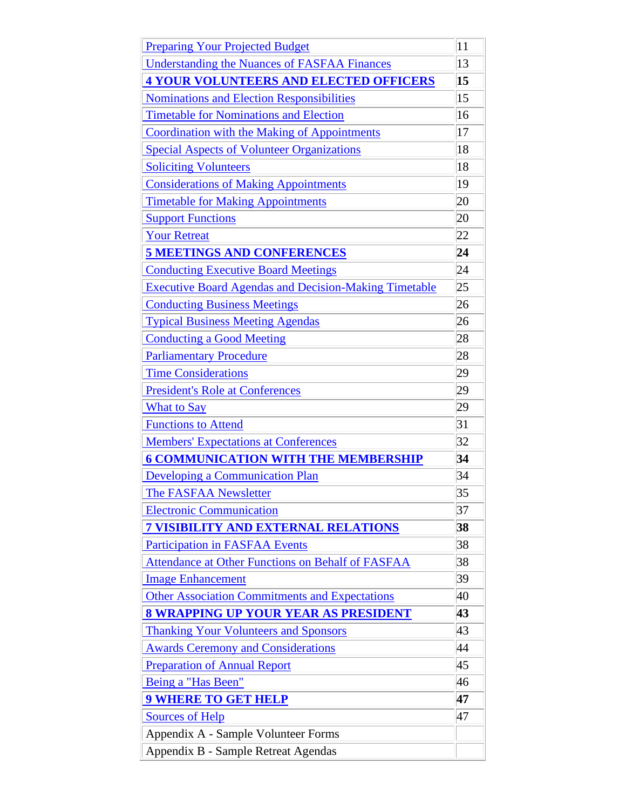| <b>Preparing Your Projected Budget</b>                       | 11              |
|--------------------------------------------------------------|-----------------|
| <b>Understanding the Nuances of FASFAA Finances</b>          | 13              |
| <b>4 YOUR VOLUNTEERS AND ELECTED OFFICERS</b>                | 15              |
| <b>Nominations and Election Responsibilities</b>             | 15              |
| <b>Timetable for Nominations and Election</b>                | 16              |
| <b>Coordination with the Making of Appointments</b>          | 17              |
| <b>Special Aspects of Volunteer Organizations</b>            | 18              |
| <b>Soliciting Volunteers</b>                                 | 18              |
| <b>Considerations of Making Appointments</b>                 | 19              |
| <b>Timetable for Making Appointments</b>                     | 20              |
| <b>Support Functions</b>                                     | 20              |
| <b>Your Retreat</b>                                          | 22              |
| <b>5 MEETINGS AND CONFERENCES</b>                            | $\overline{24}$ |
| <b>Conducting Executive Board Meetings</b>                   | 24              |
| <b>Executive Board Agendas and Decision-Making Timetable</b> | 25              |
| <b>Conducting Business Meetings</b>                          | 26              |
| <b>Typical Business Meeting Agendas</b>                      | 26              |
| <b>Conducting a Good Meeting</b>                             | 28              |
| <b>Parliamentary Procedure</b>                               | 28              |
| <b>Time Considerations</b>                                   | 29              |
| <b>President's Role at Conferences</b>                       | 29              |
| <b>What to Say</b>                                           | 29              |
| <b>Functions to Attend</b>                                   | 31              |
| <b>Members' Expectations at Conferences</b>                  | 32              |
| <b>6 COMMUNICATION WITH THE MEMBERSHIP</b>                   | 34              |
| <b>Developing a Communication Plan</b>                       | 34              |
| <b>The FASFAA Newsletter</b>                                 | 35              |
| <b>Electronic Communication</b>                              | 37              |
| <b>7 VISIBILITY AND EXTERNAL RELATIONS</b>                   | 38              |
| <b>Participation in FASFAA Events</b>                        | 38              |
| Attendance at Other Functions on Behalf of FASFAA            | 38              |
| <b>Image Enhancement</b>                                     | 39              |
| <b>Other Association Commitments and Expectations</b>        | 40              |
| <b>8 WRAPPING UP YOUR YEAR AS PRESIDENT</b>                  | 43              |
| <b>Thanking Your Volunteers and Sponsors</b>                 | 43              |
| <b>Awards Ceremony and Considerations</b>                    | 44              |
| <b>Preparation of Annual Report</b>                          | 45              |
| Being a "Has Been"                                           | 46              |
| <b>9 WHERE TO GET HELP</b>                                   | 47              |
| <b>Sources of Help</b>                                       | 47              |
| Appendix A - Sample Volunteer Forms                          |                 |
| Appendix B - Sample Retreat Agendas                          |                 |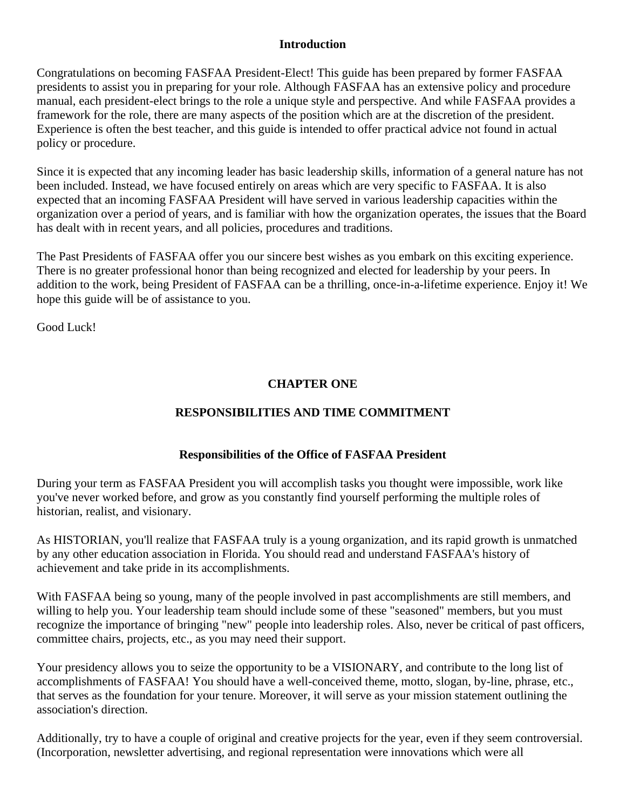## **Introduction**

Congratulations on becoming FASFAA President-Elect! This guide has been prepared by former FASFAA presidents to assist you in preparing for your role. Although FASFAA has an extensive policy and procedure manual, each president-elect brings to the role a unique style and perspective. And while FASFAA provides a framework for the role, there are many aspects of the position which are at the discretion of the president. Experience is often the best teacher, and this guide is intended to offer practical advice not found in actual policy or procedure.

Since it is expected that any incoming leader has basic leadership skills, information of a general nature has not been included. Instead, we have focused entirely on areas which are very specific to FASFAA. It is also expected that an incoming FASFAA President will have served in various leadership capacities within the organization over a period of years, and is familiar with how the organization operates, the issues that the Board has dealt with in recent years, and all policies, procedures and traditions.

The Past Presidents of FASFAA offer you our sincere best wishes as you embark on this exciting experience. There is no greater professional honor than being recognized and elected for leadership by your peers. In addition to the work, being President of FASFAA can be a thrilling, once-in-a-lifetime experience. Enjoy it! We hope this guide will be of assistance to you.

Good Luck!

# **CHAPTER ONE**

# **RESPONSIBILITIES AND TIME COMMITMENT**

# **Responsibilities of the Office of FASFAA President**

During your term as FASFAA President you will accomplish tasks you thought were impossible, work like you've never worked before, and grow as you constantly find yourself performing the multiple roles of historian, realist, and visionary.

As HISTORIAN, you'll realize that FASFAA truly is a young organization, and its rapid growth is unmatched by any other education association in Florida. You should read and understand FASFAA's history of achievement and take pride in its accomplishments.

With FASFAA being so young, many of the people involved in past accomplishments are still members, and willing to help you. Your leadership team should include some of these "seasoned" members, but you must recognize the importance of bringing "new" people into leadership roles. Also, never be critical of past officers, committee chairs, projects, etc., as you may need their support.

Your presidency allows you to seize the opportunity to be a VISIONARY, and contribute to the long list of accomplishments of FASFAA! You should have a well-conceived theme, motto, slogan, by-line, phrase, etc., that serves as the foundation for your tenure. Moreover, it will serve as your mission statement outlining the association's direction.

Additionally, try to have a couple of original and creative projects for the year, even if they seem controversial. (Incorporation, newsletter advertising, and regional representation were innovations which were all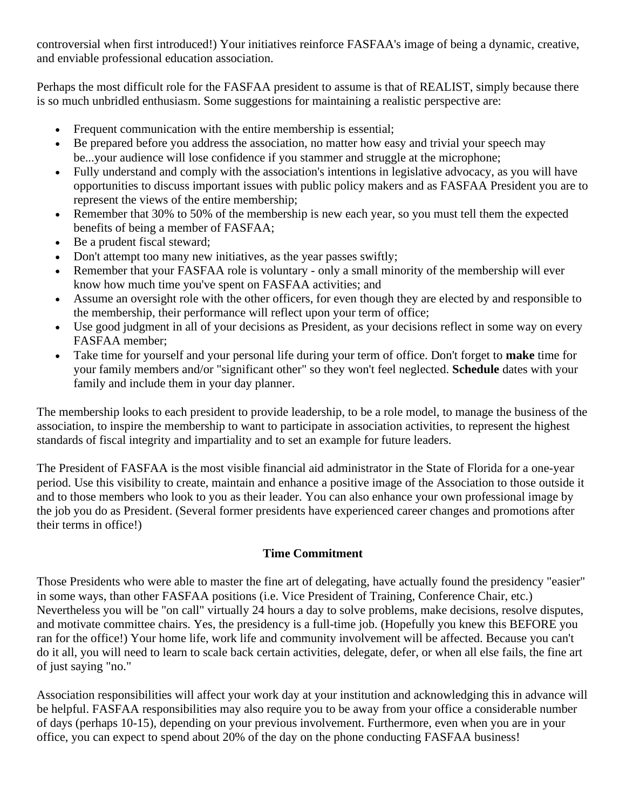controversial when first introduced!) Your initiatives reinforce FASFAA's image of being a dynamic, creative, and enviable professional education association.

Perhaps the most difficult role for the FASFAA president to assume is that of REALIST, simply because there is so much unbridled enthusiasm. Some suggestions for maintaining a realistic perspective are:

- Frequent communication with the entire membership is essential;
- Be prepared before you address the association, no matter how easy and trivial your speech may be...your audience will lose confidence if you stammer and struggle at the microphone;
- Fully understand and comply with the association's intentions in legislative advocacy, as you will have opportunities to discuss important issues with public policy makers and as FASFAA President you are to represent the views of the entire membership;
- Remember that 30% to 50% of the membership is new each year, so you must tell them the expected benefits of being a member of FASFAA;
- Be a prudent fiscal steward;
- Don't attempt too many new initiatives, as the year passes swiftly;
- Remember that your FASFAA role is voluntary only a small minority of the membership will ever know how much time you've spent on FASFAA activities; and
- Assume an oversight role with the other officers, for even though they are elected by and responsible to the membership, their performance will reflect upon your term of office;
- Use good judgment in all of your decisions as President, as your decisions reflect in some way on every FASFAA member;
- Take time for yourself and your personal life during your term of office. Don't forget to **make** time for your family members and/or "significant other" so they won't feel neglected. **Schedule** dates with your family and include them in your day planner.

The membership looks to each president to provide leadership, to be a role model, to manage the business of the association, to inspire the membership to want to participate in association activities, to represent the highest standards of fiscal integrity and impartiality and to set an example for future leaders.

The President of FASFAA is the most visible financial aid administrator in the State of Florida for a one-year period. Use this visibility to create, maintain and enhance a positive image of the Association to those outside it and to those members who look to you as their leader. You can also enhance your own professional image by the job you do as President. (Several former presidents have experienced career changes and promotions after their terms in office!)

## **Time Commitment**

Those Presidents who were able to master the fine art of delegating, have actually found the presidency "easier" in some ways, than other FASFAA positions (i.e. Vice President of Training, Conference Chair, etc.) Nevertheless you will be "on call" virtually 24 hours a day to solve problems, make decisions, resolve disputes, and motivate committee chairs. Yes, the presidency is a full-time job. (Hopefully you knew this BEFORE you ran for the office!) Your home life, work life and community involvement will be affected. Because you can't do it all, you will need to learn to scale back certain activities, delegate, defer, or when all else fails, the fine art of just saying "no."

Association responsibilities will affect your work day at your institution and acknowledging this in advance will be helpful. FASFAA responsibilities may also require you to be away from your office a considerable number of days (perhaps 10-15), depending on your previous involvement. Furthermore, even when you are in your office, you can expect to spend about 20% of the day on the phone conducting FASFAA business!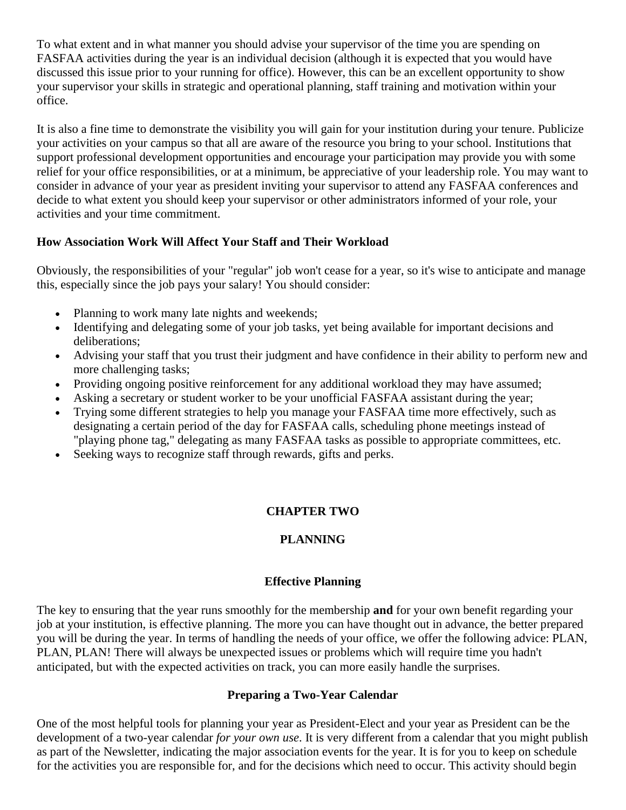To what extent and in what manner you should advise your supervisor of the time you are spending on FASFAA activities during the year is an individual decision (although it is expected that you would have discussed this issue prior to your running for office). However, this can be an excellent opportunity to show your supervisor your skills in strategic and operational planning, staff training and motivation within your office.

It is also a fine time to demonstrate the visibility you will gain for your institution during your tenure. Publicize your activities on your campus so that all are aware of the resource you bring to your school. Institutions that support professional development opportunities and encourage your participation may provide you with some relief for your office responsibilities, or at a minimum, be appreciative of your leadership role. You may want to consider in advance of your year as president inviting your supervisor to attend any FASFAA conferences and decide to what extent you should keep your supervisor or other administrators informed of your role, your activities and your time commitment.

## **How Association Work Will Affect Your Staff and Their Workload**

Obviously, the responsibilities of your "regular" job won't cease for a year, so it's wise to anticipate and manage this, especially since the job pays your salary! You should consider:

- Planning to work many late nights and weekends;
- Identifying and delegating some of your job tasks, yet being available for important decisions and deliberations;
- Advising your staff that you trust their judgment and have confidence in their ability to perform new and more challenging tasks;
- Providing ongoing positive reinforcement for any additional workload they may have assumed;
- Asking a secretary or student worker to be your unofficial FASFAA assistant during the year;
- Trying some different strategies to help you manage your FASFAA time more effectively, such as designating a certain period of the day for FASFAA calls, scheduling phone meetings instead of "playing phone tag," delegating as many FASFAA tasks as possible to appropriate committees, etc.
- Seeking ways to recognize staff through rewards, gifts and perks.

# **CHAPTER TWO**

# **PLANNING**

## **Effective Planning**

The key to ensuring that the year runs smoothly for the membership **and** for your own benefit regarding your job at your institution, is effective planning. The more you can have thought out in advance, the better prepared you will be during the year. In terms of handling the needs of your office, we offer the following advice: PLAN, PLAN, PLAN! There will always be unexpected issues or problems which will require time you hadn't anticipated, but with the expected activities on track, you can more easily handle the surprises.

## **Preparing a Two-Year Calendar**

One of the most helpful tools for planning your year as President-Elect and your year as President can be the development of a two-year calendar *for your own use*. It is very different from a calendar that you might publish as part of the Newsletter, indicating the major association events for the year. It is for you to keep on schedule for the activities you are responsible for, and for the decisions which need to occur. This activity should begin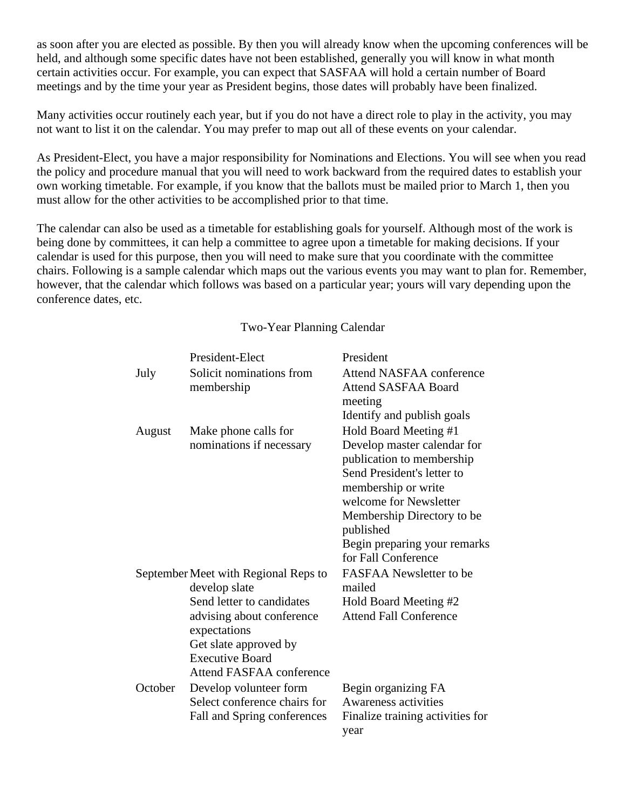as soon after you are elected as possible. By then you will already know when the upcoming conferences will be held, and although some specific dates have not been established, generally you will know in what month certain activities occur. For example, you can expect that SASFAA will hold a certain number of Board meetings and by the time your year as President begins, those dates will probably have been finalized.

Many activities occur routinely each year, but if you do not have a direct role to play in the activity, you may not want to list it on the calendar. You may prefer to map out all of these events on your calendar.

As President-Elect, you have a major responsibility for Nominations and Elections. You will see when you read the policy and procedure manual that you will need to work backward from the required dates to establish your own working timetable. For example, if you know that the ballots must be mailed prior to March 1, then you must allow for the other activities to be accomplished prior to that time.

The calendar can also be used as a timetable for establishing goals for yourself. Although most of the work is being done by committees, it can help a committee to agree upon a timetable for making decisions. If your calendar is used for this purpose, then you will need to make sure that you coordinate with the committee chairs. Following is a sample calendar which maps out the various events you may want to plan for. Remember, however, that the calendar which follows was based on a particular year; yours will vary depending upon the conference dates, etc.

|                                                       | President-Elect                 | President                                           |
|-------------------------------------------------------|---------------------------------|-----------------------------------------------------|
| July                                                  | Solicit nominations from        | <b>Attend NASFAA conference</b>                     |
|                                                       | membership                      | <b>Attend SASFAA Board</b>                          |
|                                                       |                                 | meeting                                             |
|                                                       |                                 | Identify and publish goals                          |
| August                                                | Make phone calls for            | Hold Board Meeting #1                               |
|                                                       | nominations if necessary        | Develop master calendar for                         |
|                                                       |                                 | publication to membership                           |
|                                                       |                                 | Send President's letter to                          |
|                                                       |                                 | membership or write                                 |
|                                                       |                                 | welcome for Newsletter                              |
|                                                       |                                 | Membership Directory to be<br>published             |
|                                                       |                                 | Begin preparing your remarks<br>for Fall Conference |
| September Meet with Regional Reps to<br>develop slate |                                 | <b>FASFAA Newsletter to be</b><br>mailed            |
|                                                       | Send letter to candidates       | Hold Board Meeting #2                               |
|                                                       | advising about conference       | <b>Attend Fall Conference</b>                       |
|                                                       | expectations                    |                                                     |
|                                                       | Get slate approved by           |                                                     |
|                                                       | <b>Executive Board</b>          |                                                     |
|                                                       | <b>Attend FASFAA conference</b> |                                                     |
| October                                               | Develop volunteer form          | Begin organizing FA                                 |
|                                                       | Select conference chairs for    | Awareness activities                                |
|                                                       | Fall and Spring conferences     | Finalize training activities for<br>year            |

Two-Year Planning Calendar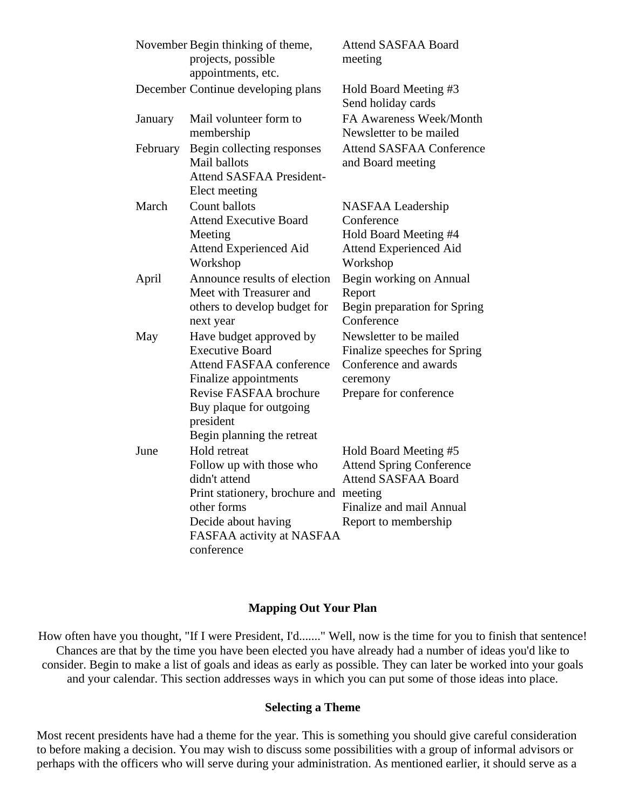|          | November Begin thinking of theme,<br>projects, possible<br>appointments, etc.                  | <b>Attend SASFAA Board</b><br>meeting                |
|----------|------------------------------------------------------------------------------------------------|------------------------------------------------------|
|          | December Continue developing plans                                                             | Hold Board Meeting #3<br>Send holiday cards          |
| January  | Mail volunteer form to<br>membership                                                           | FA Awareness Week/Month<br>Newsletter to be mailed   |
| February | Begin collecting responses<br>Mail ballots<br><b>Attend SASFAA President-</b><br>Elect meeting | <b>Attend SASFAA Conference</b><br>and Board meeting |
| March    | Count ballots                                                                                  | NASFAA Leadership                                    |
|          | <b>Attend Executive Board</b>                                                                  | Conference                                           |
|          | Meeting                                                                                        | Hold Board Meeting #4                                |
|          | <b>Attend Experienced Aid</b><br>Workshop                                                      | <b>Attend Experienced Aid</b><br>Workshop            |
| April    | Announce results of election                                                                   | Begin working on Annual                              |
|          | Meet with Treasurer and                                                                        | Report                                               |
|          | others to develop budget for<br>next year                                                      | Begin preparation for Spring<br>Conference           |
| May      | Have budget approved by                                                                        | Newsletter to be mailed                              |
|          | <b>Executive Board</b>                                                                         | Finalize speeches for Spring                         |
|          | <b>Attend FASFAA conference</b>                                                                | Conference and awards                                |
|          | Finalize appointments                                                                          | ceremony                                             |
|          | Revise FASFAA brochure                                                                         | Prepare for conference                               |
|          | Buy plaque for outgoing<br>president                                                           |                                                      |
|          | Begin planning the retreat                                                                     |                                                      |
| June     | <b>Hold</b> retreat                                                                            | Hold Board Meeting #5                                |
|          | Follow up with those who                                                                       | <b>Attend Spring Conference</b>                      |
|          | didn't attend                                                                                  | <b>Attend SASFAA Board</b>                           |
|          | Print stationery, brochure and                                                                 | meeting                                              |
|          | other forms                                                                                    | Finalize and mail Annual                             |
|          | Decide about having                                                                            | Report to membership                                 |
|          | FASFAA activity at NASFAA                                                                      |                                                      |
|          | conference                                                                                     |                                                      |

#### **Mapping Out Your Plan**

How often have you thought, "If I were President, I'd......." Well, now is the time for you to finish that sentence! Chances are that by the time you have been elected you have already had a number of ideas you'd like to consider. Begin to make a list of goals and ideas as early as possible. They can later be worked into your goals and your calendar. This section addresses ways in which you can put some of those ideas into place.

#### **Selecting a Theme**

Most recent presidents have had a theme for the year. This is something you should give careful consideration to before making a decision. You may wish to discuss some possibilities with a group of informal advisors or perhaps with the officers who will serve during your administration. As mentioned earlier, it should serve as a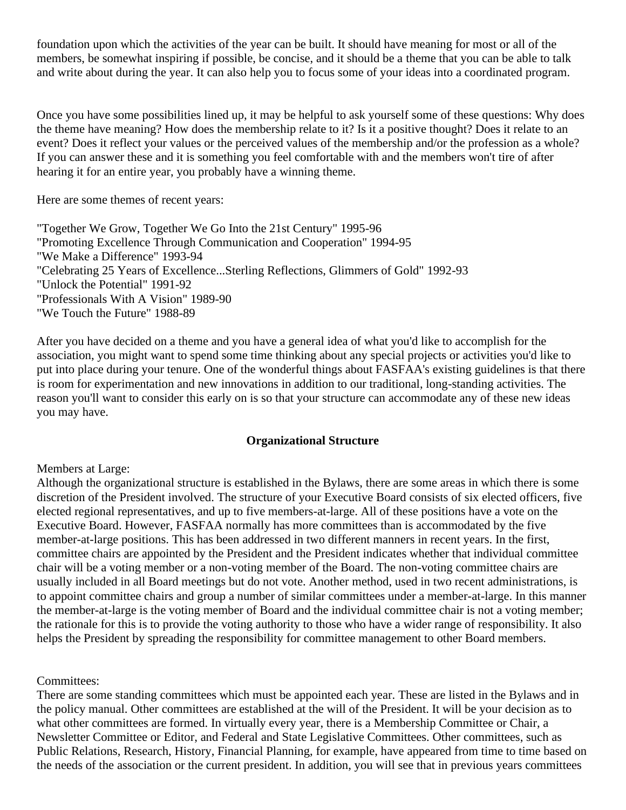foundation upon which the activities of the year can be built. It should have meaning for most or all of the members, be somewhat inspiring if possible, be concise, and it should be a theme that you can be able to talk and write about during the year. It can also help you to focus some of your ideas into a coordinated program.

Once you have some possibilities lined up, it may be helpful to ask yourself some of these questions: Why does the theme have meaning? How does the membership relate to it? Is it a positive thought? Does it relate to an event? Does it reflect your values or the perceived values of the membership and/or the profession as a whole? If you can answer these and it is something you feel comfortable with and the members won't tire of after hearing it for an entire year, you probably have a winning theme.

Here are some themes of recent years:

"Together We Grow, Together We Go Into the 21st Century" 1995-96 "Promoting Excellence Through Communication and Cooperation" 1994-95 "We Make a Difference" 1993-94 "Celebrating 25 Years of Excellence...Sterling Reflections, Glimmers of Gold" 1992-93 "Unlock the Potential" 1991-92 "Professionals With A Vision" 1989-90 "We Touch the Future" 1988-89

After you have decided on a theme and you have a general idea of what you'd like to accomplish for the association, you might want to spend some time thinking about any special projects or activities you'd like to put into place during your tenure. One of the wonderful things about FASFAA's existing guidelines is that there is room for experimentation and new innovations in addition to our traditional, long-standing activities. The reason you'll want to consider this early on is so that your structure can accommodate any of these new ideas you may have.

#### **Organizational Structure**

#### Members at Large:

Although the organizational structure is established in the Bylaws, there are some areas in which there is some discretion of the President involved. The structure of your Executive Board consists of six elected officers, five elected regional representatives, and up to five members-at-large. All of these positions have a vote on the Executive Board. However, FASFAA normally has more committees than is accommodated by the five member-at-large positions. This has been addressed in two different manners in recent years. In the first, committee chairs are appointed by the President and the President indicates whether that individual committee chair will be a voting member or a non-voting member of the Board. The non-voting committee chairs are usually included in all Board meetings but do not vote. Another method, used in two recent administrations, is to appoint committee chairs and group a number of similar committees under a member-at-large. In this manner the member-at-large is the voting member of Board and the individual committee chair is not a voting member; the rationale for this is to provide the voting authority to those who have a wider range of responsibility. It also helps the President by spreading the responsibility for committee management to other Board members.

#### Committees:

There are some standing committees which must be appointed each year. These are listed in the Bylaws and in the policy manual. Other committees are established at the will of the President. It will be your decision as to what other committees are formed. In virtually every year, there is a Membership Committee or Chair, a Newsletter Committee or Editor, and Federal and State Legislative Committees. Other committees, such as Public Relations, Research, History, Financial Planning, for example, have appeared from time to time based on the needs of the association or the current president. In addition, you will see that in previous years committees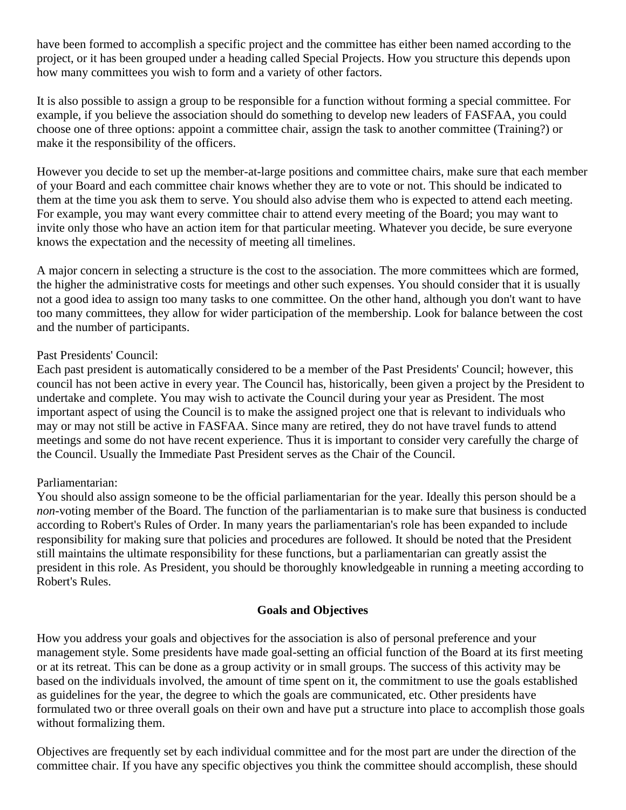have been formed to accomplish a specific project and the committee has either been named according to the project, or it has been grouped under a heading called Special Projects. How you structure this depends upon how many committees you wish to form and a variety of other factors.

It is also possible to assign a group to be responsible for a function without forming a special committee. For example, if you believe the association should do something to develop new leaders of FASFAA, you could choose one of three options: appoint a committee chair, assign the task to another committee (Training?) or make it the responsibility of the officers.

However you decide to set up the member-at-large positions and committee chairs, make sure that each member of your Board and each committee chair knows whether they are to vote or not. This should be indicated to them at the time you ask them to serve. You should also advise them who is expected to attend each meeting. For example, you may want every committee chair to attend every meeting of the Board; you may want to invite only those who have an action item for that particular meeting. Whatever you decide, be sure everyone knows the expectation and the necessity of meeting all timelines.

A major concern in selecting a structure is the cost to the association. The more committees which are formed, the higher the administrative costs for meetings and other such expenses. You should consider that it is usually not a good idea to assign too many tasks to one committee. On the other hand, although you don't want to have too many committees, they allow for wider participation of the membership. Look for balance between the cost and the number of participants.

#### Past Presidents' Council:

Each past president is automatically considered to be a member of the Past Presidents' Council; however, this council has not been active in every year. The Council has, historically, been given a project by the President to undertake and complete. You may wish to activate the Council during your year as President. The most important aspect of using the Council is to make the assigned project one that is relevant to individuals who may or may not still be active in FASFAA. Since many are retired, they do not have travel funds to attend meetings and some do not have recent experience. Thus it is important to consider very carefully the charge of the Council. Usually the Immediate Past President serves as the Chair of the Council.

## Parliamentarian:

You should also assign someone to be the official parliamentarian for the year. Ideally this person should be a *non*-voting member of the Board. The function of the parliamentarian is to make sure that business is conducted according to Robert's Rules of Order. In many years the parliamentarian's role has been expanded to include responsibility for making sure that policies and procedures are followed. It should be noted that the President still maintains the ultimate responsibility for these functions, but a parliamentarian can greatly assist the president in this role. As President, you should be thoroughly knowledgeable in running a meeting according to Robert's Rules.

#### **Goals and Objectives**

How you address your goals and objectives for the association is also of personal preference and your management style. Some presidents have made goal-setting an official function of the Board at its first meeting or at its retreat. This can be done as a group activity or in small groups. The success of this activity may be based on the individuals involved, the amount of time spent on it, the commitment to use the goals established as guidelines for the year, the degree to which the goals are communicated, etc. Other presidents have formulated two or three overall goals on their own and have put a structure into place to accomplish those goals without formalizing them.

Objectives are frequently set by each individual committee and for the most part are under the direction of the committee chair. If you have any specific objectives you think the committee should accomplish, these should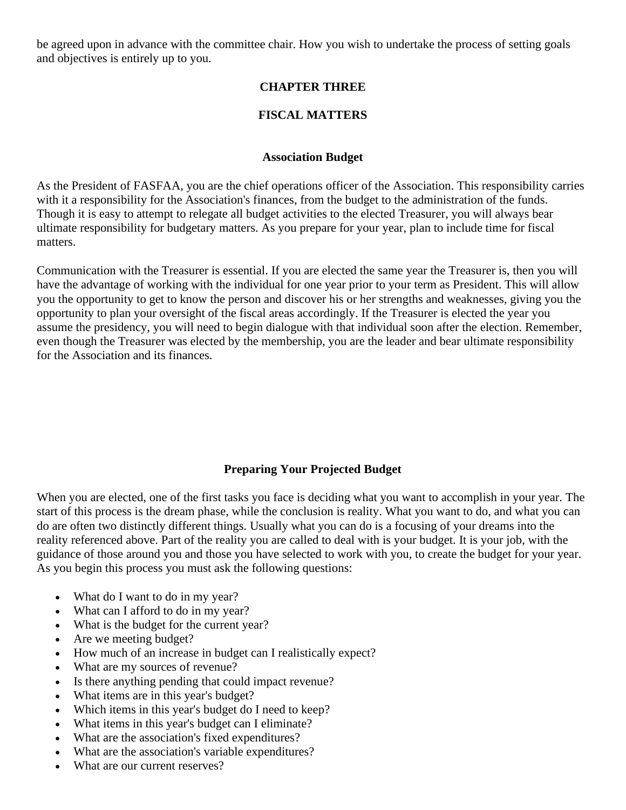be agreed upon in advance with the committee chair. How you wish to undertake the process of setting goals and objectives is entirely up to you.

# **CHAPTER THREE**

## **FISCAL MATTERS**

#### **Association Budget**

As the President of FASFAA, you are the chief operations officer of the Association. This responsibility carries with it a responsibility for the Association's finances, from the budget to the administration of the funds. Though it is easy to attempt to relegate all budget activities to the elected Treasurer, you will always bear ultimate responsibility for budgetary matters. As you prepare for your year, plan to include time for fiscal matters.

Communication with the Treasurer is essential. If you are elected the same year the Treasurer is, then you will have the advantage of working with the individual for one year prior to your term as President. This will allow you the opportunity to get to know the person and discover his or her strengths and weaknesses, giving you the opportunity to plan your oversight of the fiscal areas accordingly. If the Treasurer is elected the year you assume the presidency, you will need to begin dialogue with that individual soon after the election. Remember, even though the Treasurer was elected by the membership, you are the leader and bear ultimate responsibility for the Association and its finances.

## **Preparing Your Projected Budget**

When you are elected, one of the first tasks you face is deciding what you want to accomplish in your year. The start of this process is the dream phase, while the conclusion is reality. What you want to do, and what you can do are often two distinctly different things. Usually what you can do is a focusing of your dreams into the reality referenced above. Part of the reality you are called to deal with is your budget. It is your job, with the guidance of those around you and those you have selected to work with you, to create the budget for your year. As you begin this process you must ask the following questions:

- What do I want to do in my year?
- What can I afford to do in my year?
- What is the budget for the current year?
- Are we meeting budget?
- How much of an increase in budget can I realistically expect?
- What are my sources of revenue?
- Is there anything pending that could impact revenue?
- What items are in this year's budget?
- Which items in this year's budget do I need to keep?
- What items in this year's budget can I eliminate?
- What are the association's fixed expenditures?
- What are the association's variable expenditures?
- What are our current reserves?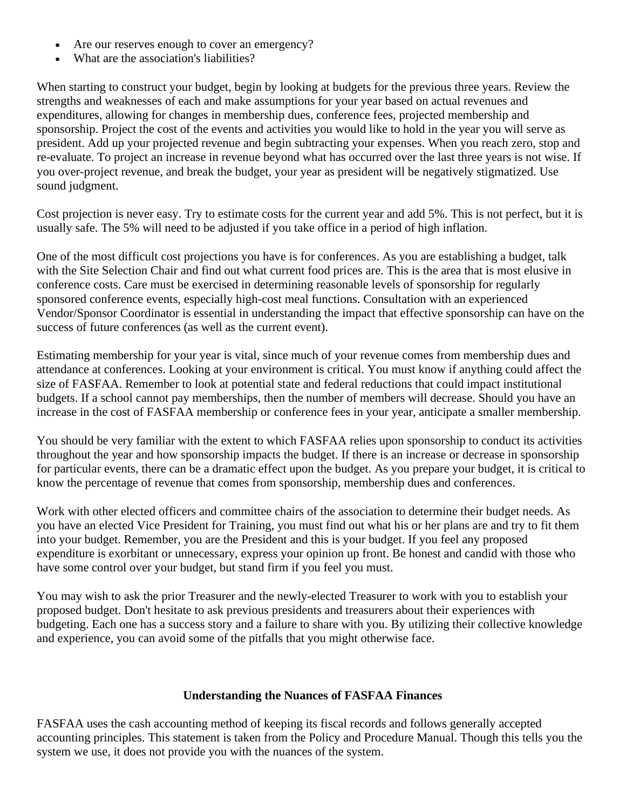- Are our reserves enough to cover an emergency?
- What are the association's liabilities?

When starting to construct your budget, begin by looking at budgets for the previous three years. Review the strengths and weaknesses of each and make assumptions for your year based on actual revenues and expenditures, allowing for changes in membership dues, conference fees, projected membership and sponsorship. Project the cost of the events and activities you would like to hold in the year you will serve as president. Add up your projected revenue and begin subtracting your expenses. When you reach zero, stop and re-evaluate. To project an increase in revenue beyond what has occurred over the last three years is not wise. If you over-project revenue, and break the budget, your year as president will be negatively stigmatized. Use sound judgment.

Cost projection is never easy. Try to estimate costs for the current year and add 5%. This is not perfect, but it is usually safe. The 5% will need to be adjusted if you take office in a period of high inflation.

One of the most difficult cost projections you have is for conferences. As you are establishing a budget, talk with the Site Selection Chair and find out what current food prices are. This is the area that is most elusive in conference costs. Care must be exercised in determining reasonable levels of sponsorship for regularly sponsored conference events, especially high-cost meal functions. Consultation with an experienced Vendor/Sponsor Coordinator is essential in understanding the impact that effective sponsorship can have on the success of future conferences (as well as the current event).

Estimating membership for your year is vital, since much of your revenue comes from membership dues and attendance at conferences. Looking at your environment is critical. You must know if anything could affect the size of FASFAA. Remember to look at potential state and federal reductions that could impact institutional budgets. If a school cannot pay memberships, then the number of members will decrease. Should you have an increase in the cost of FASFAA membership or conference fees in your year, anticipate a smaller membership.

You should be very familiar with the extent to which FASFAA relies upon sponsorship to conduct its activities throughout the year and how sponsorship impacts the budget. If there is an increase or decrease in sponsorship for particular events, there can be a dramatic effect upon the budget. As you prepare your budget, it is critical to know the percentage of revenue that comes from sponsorship, membership dues and conferences.

Work with other elected officers and committee chairs of the association to determine their budget needs. As you have an elected Vice President for Training, you must find out what his or her plans are and try to fit them into your budget. Remember, you are the President and this is your budget. If you feel any proposed expenditure is exorbitant or unnecessary, express your opinion up front. Be honest and candid with those who have some control over your budget, but stand firm if you feel you must.

You may wish to ask the prior Treasurer and the newly-elected Treasurer to work with you to establish your proposed budget. Don't hesitate to ask previous presidents and treasurers about their experiences with budgeting. Each one has a success story and a failure to share with you. By utilizing their collective knowledge and experience, you can avoid some of the pitfalls that you might otherwise face.

#### **Understanding the Nuances of FASFAA Finances**

FASFAA uses the cash accounting method of keeping its fiscal records and follows generally accepted accounting principles. This statement is taken from the Policy and Procedure Manual. Though this tells you the system we use, it does not provide you with the nuances of the system.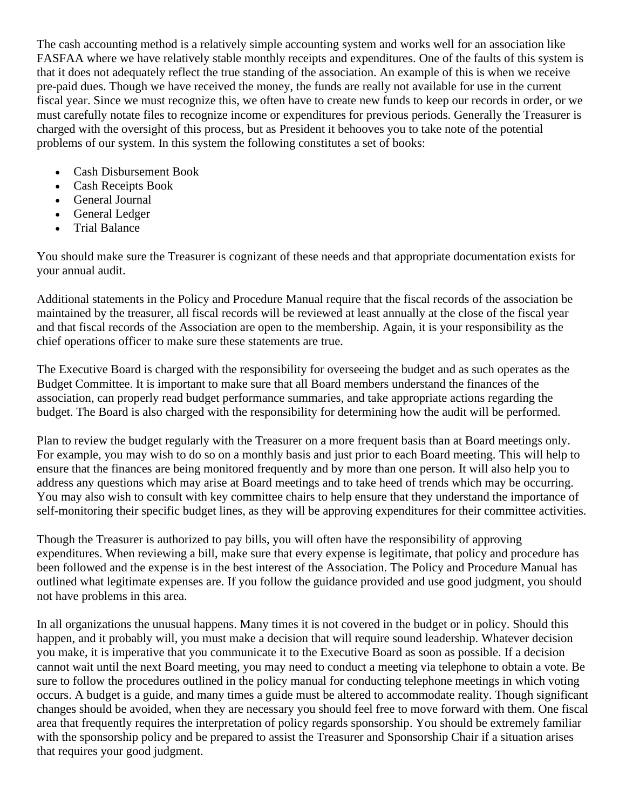The cash accounting method is a relatively simple accounting system and works well for an association like FASFAA where we have relatively stable monthly receipts and expenditures. One of the faults of this system is that it does not adequately reflect the true standing of the association. An example of this is when we receive pre-paid dues. Though we have received the money, the funds are really not available for use in the current fiscal year. Since we must recognize this, we often have to create new funds to keep our records in order, or we must carefully notate files to recognize income or expenditures for previous periods. Generally the Treasurer is charged with the oversight of this process, but as President it behooves you to take note of the potential problems of our system. In this system the following constitutes a set of books:

- Cash Disbursement Book
- Cash Receipts Book
- General Journal
- General Ledger
- Trial Balance

You should make sure the Treasurer is cognizant of these needs and that appropriate documentation exists for your annual audit.

Additional statements in the Policy and Procedure Manual require that the fiscal records of the association be maintained by the treasurer, all fiscal records will be reviewed at least annually at the close of the fiscal year and that fiscal records of the Association are open to the membership. Again, it is your responsibility as the chief operations officer to make sure these statements are true.

The Executive Board is charged with the responsibility for overseeing the budget and as such operates as the Budget Committee. It is important to make sure that all Board members understand the finances of the association, can properly read budget performance summaries, and take appropriate actions regarding the budget. The Board is also charged with the responsibility for determining how the audit will be performed.

Plan to review the budget regularly with the Treasurer on a more frequent basis than at Board meetings only. For example, you may wish to do so on a monthly basis and just prior to each Board meeting. This will help to ensure that the finances are being monitored frequently and by more than one person. It will also help you to address any questions which may arise at Board meetings and to take heed of trends which may be occurring. You may also wish to consult with key committee chairs to help ensure that they understand the importance of self-monitoring their specific budget lines, as they will be approving expenditures for their committee activities.

Though the Treasurer is authorized to pay bills, you will often have the responsibility of approving expenditures. When reviewing a bill, make sure that every expense is legitimate, that policy and procedure has been followed and the expense is in the best interest of the Association. The Policy and Procedure Manual has outlined what legitimate expenses are. If you follow the guidance provided and use good judgment, you should not have problems in this area.

In all organizations the unusual happens. Many times it is not covered in the budget or in policy. Should this happen, and it probably will, you must make a decision that will require sound leadership. Whatever decision you make, it is imperative that you communicate it to the Executive Board as soon as possible. If a decision cannot wait until the next Board meeting, you may need to conduct a meeting via telephone to obtain a vote. Be sure to follow the procedures outlined in the policy manual for conducting telephone meetings in which voting occurs. A budget is a guide, and many times a guide must be altered to accommodate reality. Though significant changes should be avoided, when they are necessary you should feel free to move forward with them. One fiscal area that frequently requires the interpretation of policy regards sponsorship. You should be extremely familiar with the sponsorship policy and be prepared to assist the Treasurer and Sponsorship Chair if a situation arises that requires your good judgment.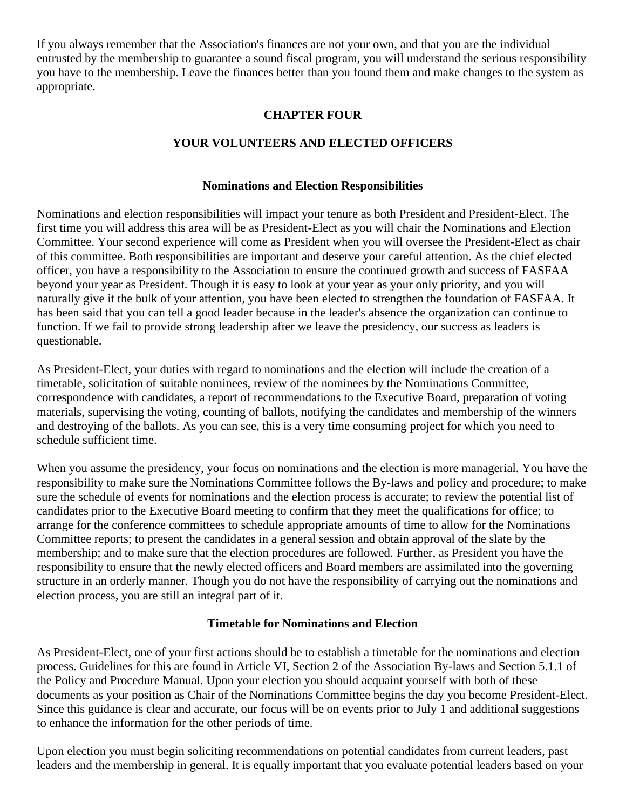If you always remember that the Association's finances are not your own, and that you are the individual entrusted by the membership to guarantee a sound fiscal program, you will understand the serious responsibility you have to the membership. Leave the finances better than you found them and make changes to the system as appropriate.

# **CHAPTER FOUR**

# **YOUR VOLUNTEERS AND ELECTED OFFICERS**

#### **Nominations and Election Responsibilities**

Nominations and election responsibilities will impact your tenure as both President and President-Elect. The first time you will address this area will be as President-Elect as you will chair the Nominations and Election Committee. Your second experience will come as President when you will oversee the President-Elect as chair of this committee. Both responsibilities are important and deserve your careful attention. As the chief elected officer, you have a responsibility to the Association to ensure the continued growth and success of FASFAA beyond your year as President. Though it is easy to look at your year as your only priority, and you will naturally give it the bulk of your attention, you have been elected to strengthen the foundation of FASFAA. It has been said that you can tell a good leader because in the leader's absence the organization can continue to function. If we fail to provide strong leadership after we leave the presidency, our success as leaders is questionable.

As President-Elect, your duties with regard to nominations and the election will include the creation of a timetable, solicitation of suitable nominees, review of the nominees by the Nominations Committee, correspondence with candidates, a report of recommendations to the Executive Board, preparation of voting materials, supervising the voting, counting of ballots, notifying the candidates and membership of the winners and destroying of the ballots. As you can see, this is a very time consuming project for which you need to schedule sufficient time.

When you assume the presidency, your focus on nominations and the election is more managerial. You have the responsibility to make sure the Nominations Committee follows the By-laws and policy and procedure; to make sure the schedule of events for nominations and the election process is accurate; to review the potential list of candidates prior to the Executive Board meeting to confirm that they meet the qualifications for office; to arrange for the conference committees to schedule appropriate amounts of time to allow for the Nominations Committee reports; to present the candidates in a general session and obtain approval of the slate by the membership; and to make sure that the election procedures are followed. Further, as President you have the responsibility to ensure that the newly elected officers and Board members are assimilated into the governing structure in an orderly manner. Though you do not have the responsibility of carrying out the nominations and election process, you are still an integral part of it.

#### **Timetable for Nominations and Election**

As President-Elect, one of your first actions should be to establish a timetable for the nominations and election process. Guidelines for this are found in Article VI, Section 2 of the Association By-laws and Section 5.1.1 of the Policy and Procedure Manual. Upon your election you should acquaint yourself with both of these documents as your position as Chair of the Nominations Committee begins the day you become President-Elect. Since this guidance is clear and accurate, our focus will be on events prior to July 1 and additional suggestions to enhance the information for the other periods of time.

Upon election you must begin soliciting recommendations on potential candidates from current leaders, past leaders and the membership in general. It is equally important that you evaluate potential leaders based on your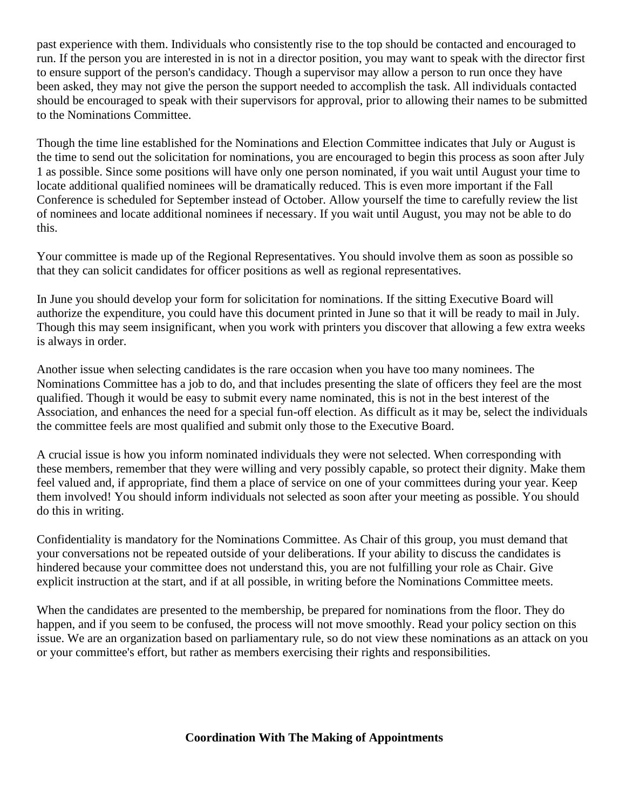past experience with them. Individuals who consistently rise to the top should be contacted and encouraged to run. If the person you are interested in is not in a director position, you may want to speak with the director first to ensure support of the person's candidacy. Though a supervisor may allow a person to run once they have been asked, they may not give the person the support needed to accomplish the task. All individuals contacted should be encouraged to speak with their supervisors for approval, prior to allowing their names to be submitted to the Nominations Committee.

Though the time line established for the Nominations and Election Committee indicates that July or August is the time to send out the solicitation for nominations, you are encouraged to begin this process as soon after July 1 as possible. Since some positions will have only one person nominated, if you wait until August your time to locate additional qualified nominees will be dramatically reduced. This is even more important if the Fall Conference is scheduled for September instead of October. Allow yourself the time to carefully review the list of nominees and locate additional nominees if necessary. If you wait until August, you may not be able to do this.

Your committee is made up of the Regional Representatives. You should involve them as soon as possible so that they can solicit candidates for officer positions as well as regional representatives.

In June you should develop your form for solicitation for nominations. If the sitting Executive Board will authorize the expenditure, you could have this document printed in June so that it will be ready to mail in July. Though this may seem insignificant, when you work with printers you discover that allowing a few extra weeks is always in order.

Another issue when selecting candidates is the rare occasion when you have too many nominees. The Nominations Committee has a job to do, and that includes presenting the slate of officers they feel are the most qualified. Though it would be easy to submit every name nominated, this is not in the best interest of the Association, and enhances the need for a special fun-off election. As difficult as it may be, select the individuals the committee feels are most qualified and submit only those to the Executive Board.

A crucial issue is how you inform nominated individuals they were not selected. When corresponding with these members, remember that they were willing and very possibly capable, so protect their dignity. Make them feel valued and, if appropriate, find them a place of service on one of your committees during your year. Keep them involved! You should inform individuals not selected as soon after your meeting as possible. You should do this in writing.

Confidentiality is mandatory for the Nominations Committee. As Chair of this group, you must demand that your conversations not be repeated outside of your deliberations. If your ability to discuss the candidates is hindered because your committee does not understand this, you are not fulfilling your role as Chair. Give explicit instruction at the start, and if at all possible, in writing before the Nominations Committee meets.

When the candidates are presented to the membership, be prepared for nominations from the floor. They do happen, and if you seem to be confused, the process will not move smoothly. Read your policy section on this issue. We are an organization based on parliamentary rule, so do not view these nominations as an attack on you or your committee's effort, but rather as members exercising their rights and responsibilities.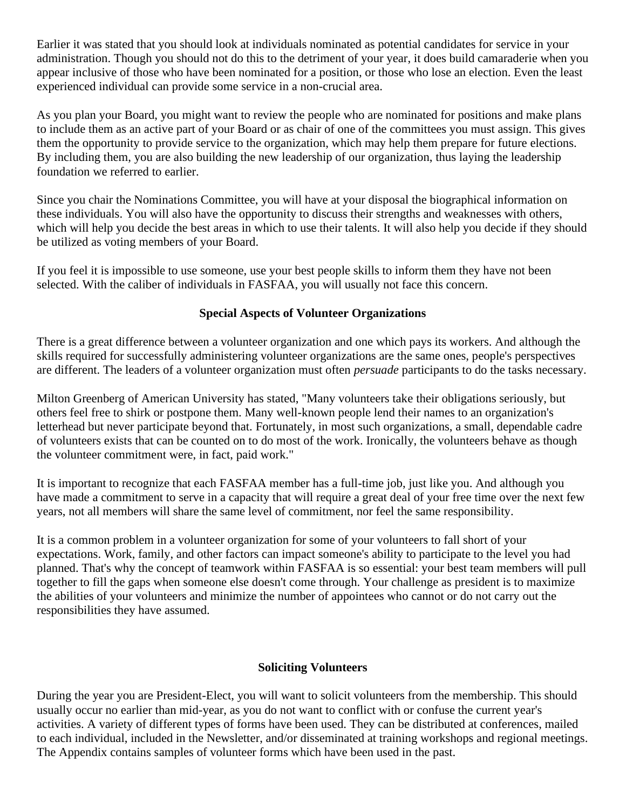Earlier it was stated that you should look at individuals nominated as potential candidates for service in your administration. Though you should not do this to the detriment of your year, it does build camaraderie when you appear inclusive of those who have been nominated for a position, or those who lose an election. Even the least experienced individual can provide some service in a non-crucial area.

As you plan your Board, you might want to review the people who are nominated for positions and make plans to include them as an active part of your Board or as chair of one of the committees you must assign. This gives them the opportunity to provide service to the organization, which may help them prepare for future elections. By including them, you are also building the new leadership of our organization, thus laying the leadership foundation we referred to earlier.

Since you chair the Nominations Committee, you will have at your disposal the biographical information on these individuals. You will also have the opportunity to discuss their strengths and weaknesses with others, which will help you decide the best areas in which to use their talents. It will also help you decide if they should be utilized as voting members of your Board.

If you feel it is impossible to use someone, use your best people skills to inform them they have not been selected. With the caliber of individuals in FASFAA, you will usually not face this concern.

## **Special Aspects of Volunteer Organizations**

There is a great difference between a volunteer organization and one which pays its workers. And although the skills required for successfully administering volunteer organizations are the same ones, people's perspectives are different. The leaders of a volunteer organization must often *persuade* participants to do the tasks necessary.

Milton Greenberg of American University has stated, "Many volunteers take their obligations seriously, but others feel free to shirk or postpone them. Many well-known people lend their names to an organization's letterhead but never participate beyond that. Fortunately, in most such organizations, a small, dependable cadre of volunteers exists that can be counted on to do most of the work. Ironically, the volunteers behave as though the volunteer commitment were, in fact, paid work."

It is important to recognize that each FASFAA member has a full-time job, just like you. And although you have made a commitment to serve in a capacity that will require a great deal of your free time over the next few years, not all members will share the same level of commitment, nor feel the same responsibility.

It is a common problem in a volunteer organization for some of your volunteers to fall short of your expectations. Work, family, and other factors can impact someone's ability to participate to the level you had planned. That's why the concept of teamwork within FASFAA is so essential: your best team members will pull together to fill the gaps when someone else doesn't come through. Your challenge as president is to maximize the abilities of your volunteers and minimize the number of appointees who cannot or do not carry out the responsibilities they have assumed.

#### **Soliciting Volunteers**

During the year you are President-Elect, you will want to solicit volunteers from the membership. This should usually occur no earlier than mid-year, as you do not want to conflict with or confuse the current year's activities. A variety of different types of forms have been used. They can be distributed at conferences, mailed to each individual, included in the Newsletter, and/or disseminated at training workshops and regional meetings. The Appendix contains samples of volunteer forms which have been used in the past.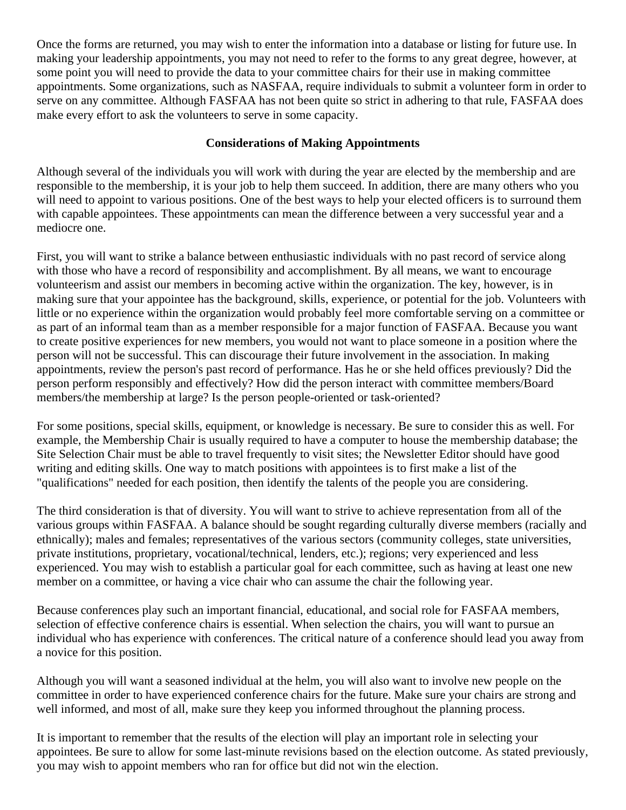Once the forms are returned, you may wish to enter the information into a database or listing for future use. In making your leadership appointments, you may not need to refer to the forms to any great degree, however, at some point you will need to provide the data to your committee chairs for their use in making committee appointments. Some organizations, such as NASFAA, require individuals to submit a volunteer form in order to serve on any committee. Although FASFAA has not been quite so strict in adhering to that rule, FASFAA does make every effort to ask the volunteers to serve in some capacity.

## **Considerations of Making Appointments**

Although several of the individuals you will work with during the year are elected by the membership and are responsible to the membership, it is your job to help them succeed. In addition, there are many others who you will need to appoint to various positions. One of the best ways to help your elected officers is to surround them with capable appointees. These appointments can mean the difference between a very successful year and a mediocre one.

First, you will want to strike a balance between enthusiastic individuals with no past record of service along with those who have a record of responsibility and accomplishment. By all means, we want to encourage volunteerism and assist our members in becoming active within the organization. The key, however, is in making sure that your appointee has the background, skills, experience, or potential for the job. Volunteers with little or no experience within the organization would probably feel more comfortable serving on a committee or as part of an informal team than as a member responsible for a major function of FASFAA. Because you want to create positive experiences for new members, you would not want to place someone in a position where the person will not be successful. This can discourage their future involvement in the association. In making appointments, review the person's past record of performance. Has he or she held offices previously? Did the person perform responsibly and effectively? How did the person interact with committee members/Board members/the membership at large? Is the person people-oriented or task-oriented?

For some positions, special skills, equipment, or knowledge is necessary. Be sure to consider this as well. For example, the Membership Chair is usually required to have a computer to house the membership database; the Site Selection Chair must be able to travel frequently to visit sites; the Newsletter Editor should have good writing and editing skills. One way to match positions with appointees is to first make a list of the "qualifications" needed for each position, then identify the talents of the people you are considering.

The third consideration is that of diversity. You will want to strive to achieve representation from all of the various groups within FASFAA. A balance should be sought regarding culturally diverse members (racially and ethnically); males and females; representatives of the various sectors (community colleges, state universities, private institutions, proprietary, vocational/technical, lenders, etc.); regions; very experienced and less experienced. You may wish to establish a particular goal for each committee, such as having at least one new member on a committee, or having a vice chair who can assume the chair the following year.

Because conferences play such an important financial, educational, and social role for FASFAA members, selection of effective conference chairs is essential. When selection the chairs, you will want to pursue an individual who has experience with conferences. The critical nature of a conference should lead you away from a novice for this position.

Although you will want a seasoned individual at the helm, you will also want to involve new people on the committee in order to have experienced conference chairs for the future. Make sure your chairs are strong and well informed, and most of all, make sure they keep you informed throughout the planning process.

It is important to remember that the results of the election will play an important role in selecting your appointees. Be sure to allow for some last-minute revisions based on the election outcome. As stated previously, you may wish to appoint members who ran for office but did not win the election.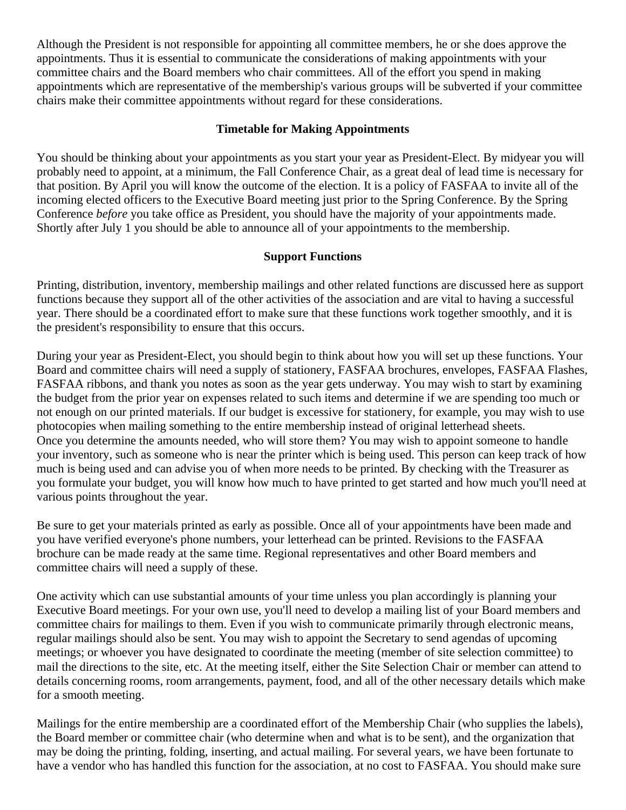Although the President is not responsible for appointing all committee members, he or she does approve the appointments. Thus it is essential to communicate the considerations of making appointments with your committee chairs and the Board members who chair committees. All of the effort you spend in making appointments which are representative of the membership's various groups will be subverted if your committee chairs make their committee appointments without regard for these considerations.

## **Timetable for Making Appointments**

You should be thinking about your appointments as you start your year as President-Elect. By midyear you will probably need to appoint, at a minimum, the Fall Conference Chair, as a great deal of lead time is necessary for that position. By April you will know the outcome of the election. It is a policy of FASFAA to invite all of the incoming elected officers to the Executive Board meeting just prior to the Spring Conference. By the Spring Conference *before* you take office as President, you should have the majority of your appointments made. Shortly after July 1 you should be able to announce all of your appointments to the membership.

## **Support Functions**

Printing, distribution, inventory, membership mailings and other related functions are discussed here as support functions because they support all of the other activities of the association and are vital to having a successful year. There should be a coordinated effort to make sure that these functions work together smoothly, and it is the president's responsibility to ensure that this occurs.

During your year as President-Elect, you should begin to think about how you will set up these functions. Your Board and committee chairs will need a supply of stationery, FASFAA brochures, envelopes, FASFAA Flashes, FASFAA ribbons, and thank you notes as soon as the year gets underway. You may wish to start by examining the budget from the prior year on expenses related to such items and determine if we are spending too much or not enough on our printed materials. If our budget is excessive for stationery, for example, you may wish to use photocopies when mailing something to the entire membership instead of original letterhead sheets. Once you determine the amounts needed, who will store them? You may wish to appoint someone to handle your inventory, such as someone who is near the printer which is being used. This person can keep track of how much is being used and can advise you of when more needs to be printed. By checking with the Treasurer as you formulate your budget, you will know how much to have printed to get started and how much you'll need at various points throughout the year.

Be sure to get your materials printed as early as possible. Once all of your appointments have been made and you have verified everyone's phone numbers, your letterhead can be printed. Revisions to the FASFAA brochure can be made ready at the same time. Regional representatives and other Board members and committee chairs will need a supply of these.

One activity which can use substantial amounts of your time unless you plan accordingly is planning your Executive Board meetings. For your own use, you'll need to develop a mailing list of your Board members and committee chairs for mailings to them. Even if you wish to communicate primarily through electronic means, regular mailings should also be sent. You may wish to appoint the Secretary to send agendas of upcoming meetings; or whoever you have designated to coordinate the meeting (member of site selection committee) to mail the directions to the site, etc. At the meeting itself, either the Site Selection Chair or member can attend to details concerning rooms, room arrangements, payment, food, and all of the other necessary details which make for a smooth meeting.

Mailings for the entire membership are a coordinated effort of the Membership Chair (who supplies the labels), the Board member or committee chair (who determine when and what is to be sent), and the organization that may be doing the printing, folding, inserting, and actual mailing. For several years, we have been fortunate to have a vendor who has handled this function for the association, at no cost to FASFAA. You should make sure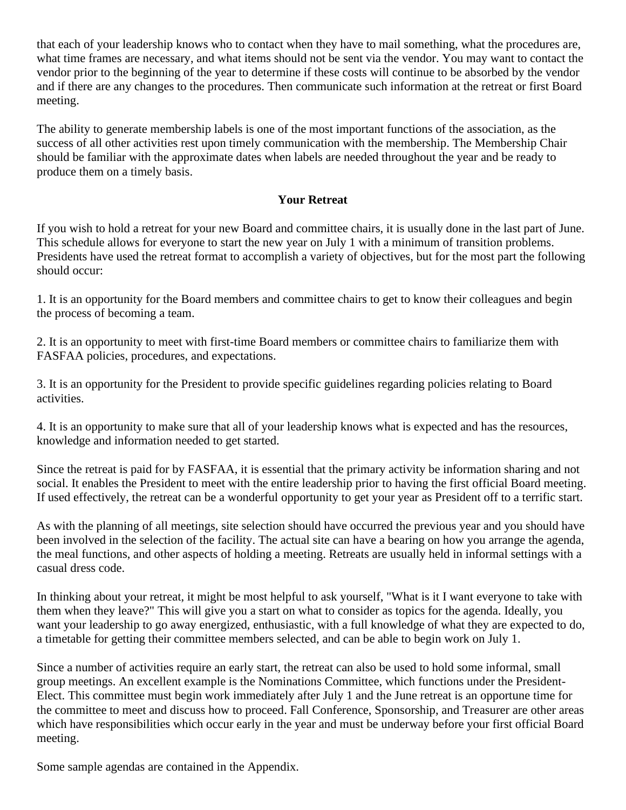that each of your leadership knows who to contact when they have to mail something, what the procedures are, what time frames are necessary, and what items should not be sent via the vendor. You may want to contact the vendor prior to the beginning of the year to determine if these costs will continue to be absorbed by the vendor and if there are any changes to the procedures. Then communicate such information at the retreat or first Board meeting.

The ability to generate membership labels is one of the most important functions of the association, as the success of all other activities rest upon timely communication with the membership. The Membership Chair should be familiar with the approximate dates when labels are needed throughout the year and be ready to produce them on a timely basis.

## **Your Retreat**

If you wish to hold a retreat for your new Board and committee chairs, it is usually done in the last part of June. This schedule allows for everyone to start the new year on July 1 with a minimum of transition problems. Presidents have used the retreat format to accomplish a variety of objectives, but for the most part the following should occur:

1. It is an opportunity for the Board members and committee chairs to get to know their colleagues and begin the process of becoming a team.

2. It is an opportunity to meet with first-time Board members or committee chairs to familiarize them with FASFAA policies, procedures, and expectations.

3. It is an opportunity for the President to provide specific guidelines regarding policies relating to Board activities.

4. It is an opportunity to make sure that all of your leadership knows what is expected and has the resources, knowledge and information needed to get started.

Since the retreat is paid for by FASFAA, it is essential that the primary activity be information sharing and not social. It enables the President to meet with the entire leadership prior to having the first official Board meeting. If used effectively, the retreat can be a wonderful opportunity to get your year as President off to a terrific start.

As with the planning of all meetings, site selection should have occurred the previous year and you should have been involved in the selection of the facility. The actual site can have a bearing on how you arrange the agenda, the meal functions, and other aspects of holding a meeting. Retreats are usually held in informal settings with a casual dress code.

In thinking about your retreat, it might be most helpful to ask yourself, "What is it I want everyone to take with them when they leave?" This will give you a start on what to consider as topics for the agenda. Ideally, you want your leadership to go away energized, enthusiastic, with a full knowledge of what they are expected to do, a timetable for getting their committee members selected, and can be able to begin work on July 1.

Since a number of activities require an early start, the retreat can also be used to hold some informal, small group meetings. An excellent example is the Nominations Committee, which functions under the President-Elect. This committee must begin work immediately after July 1 and the June retreat is an opportune time for the committee to meet and discuss how to proceed. Fall Conference, Sponsorship, and Treasurer are other areas which have responsibilities which occur early in the year and must be underway before your first official Board meeting.

Some sample agendas are contained in the Appendix.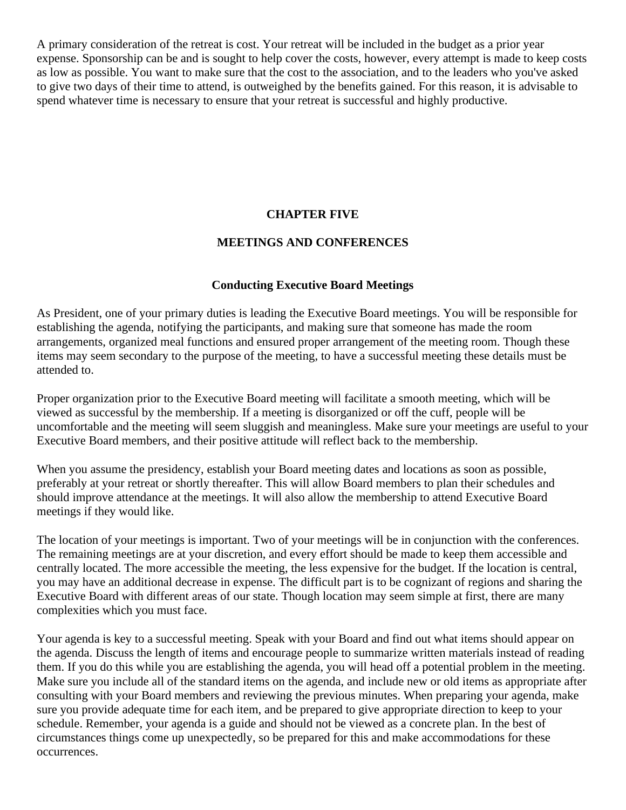A primary consideration of the retreat is cost. Your retreat will be included in the budget as a prior year expense. Sponsorship can be and is sought to help cover the costs, however, every attempt is made to keep costs as low as possible. You want to make sure that the cost to the association, and to the leaders who you've asked to give two days of their time to attend, is outweighed by the benefits gained. For this reason, it is advisable to spend whatever time is necessary to ensure that your retreat is successful and highly productive.

#### **CHAPTER FIVE**

#### **MEETINGS AND CONFERENCES**

#### **Conducting Executive Board Meetings**

As President, one of your primary duties is leading the Executive Board meetings. You will be responsible for establishing the agenda, notifying the participants, and making sure that someone has made the room arrangements, organized meal functions and ensured proper arrangement of the meeting room. Though these items may seem secondary to the purpose of the meeting, to have a successful meeting these details must be attended to.

Proper organization prior to the Executive Board meeting will facilitate a smooth meeting, which will be viewed as successful by the membership. If a meeting is disorganized or off the cuff, people will be uncomfortable and the meeting will seem sluggish and meaningless. Make sure your meetings are useful to your Executive Board members, and their positive attitude will reflect back to the membership.

When you assume the presidency, establish your Board meeting dates and locations as soon as possible, preferably at your retreat or shortly thereafter. This will allow Board members to plan their schedules and should improve attendance at the meetings. It will also allow the membership to attend Executive Board meetings if they would like.

The location of your meetings is important. Two of your meetings will be in conjunction with the conferences. The remaining meetings are at your discretion, and every effort should be made to keep them accessible and centrally located. The more accessible the meeting, the less expensive for the budget. If the location is central, you may have an additional decrease in expense. The difficult part is to be cognizant of regions and sharing the Executive Board with different areas of our state. Though location may seem simple at first, there are many complexities which you must face.

Your agenda is key to a successful meeting. Speak with your Board and find out what items should appear on the agenda. Discuss the length of items and encourage people to summarize written materials instead of reading them. If you do this while you are establishing the agenda, you will head off a potential problem in the meeting. Make sure you include all of the standard items on the agenda, and include new or old items as appropriate after consulting with your Board members and reviewing the previous minutes. When preparing your agenda, make sure you provide adequate time for each item, and be prepared to give appropriate direction to keep to your schedule. Remember, your agenda is a guide and should not be viewed as a concrete plan. In the best of circumstances things come up unexpectedly, so be prepared for this and make accommodations for these occurrences.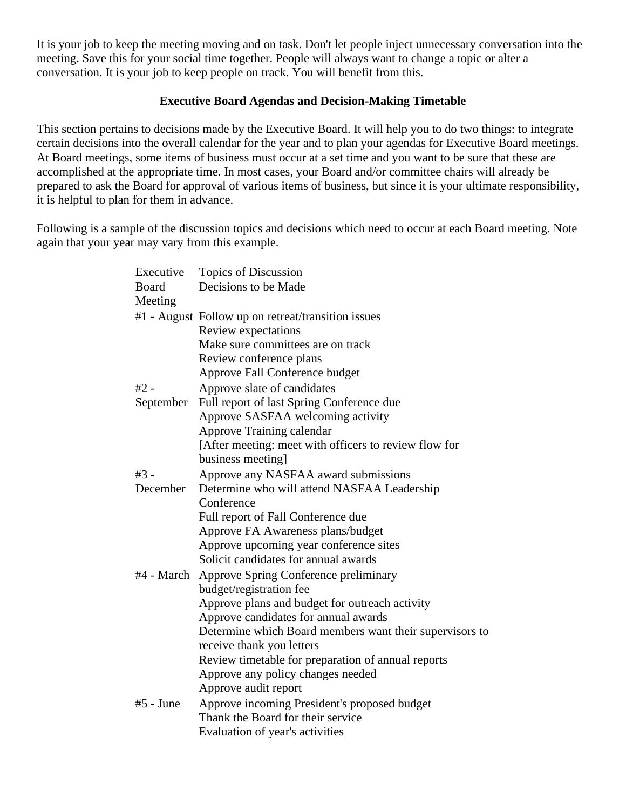It is your job to keep the meeting moving and on task. Don't let people inject unnecessary conversation into the meeting. Save this for your social time together. People will always want to change a topic or alter a conversation. It is your job to keep people on track. You will benefit from this.

## **Executive Board Agendas and Decision-Making Timetable**

This section pertains to decisions made by the Executive Board. It will help you to do two things: to integrate certain decisions into the overall calendar for the year and to plan your agendas for Executive Board meetings. At Board meetings, some items of business must occur at a set time and you want to be sure that these are accomplished at the appropriate time. In most cases, your Board and/or committee chairs will already be prepared to ask the Board for approval of various items of business, but since it is your ultimate responsibility, it is helpful to plan for them in advance.

Following is a sample of the discussion topics and decisions which need to occur at each Board meeting. Note again that your year may vary from this example.

| Executive<br><b>Board</b><br>Meeting | Topics of Discussion<br>Decisions to be Made            |
|--------------------------------------|---------------------------------------------------------|
|                                      | #1 - August Follow up on retreat/transition issues      |
|                                      | Review expectations                                     |
|                                      | Make sure committees are on track                       |
|                                      | Review conference plans                                 |
|                                      | Approve Fall Conference budget                          |
| #2 -                                 | Approve slate of candidates                             |
| September                            | Full report of last Spring Conference due               |
|                                      | Approve SASFAA welcoming activity                       |
|                                      | Approve Training calendar                               |
|                                      | [After meeting: meet with officers to review flow for   |
|                                      | business meeting]                                       |
| $#3 -$                               | Approve any NASFAA award submissions                    |
| December                             | Determine who will attend NASFAA Leadership             |
|                                      | Conference                                              |
|                                      | Full report of Fall Conference due                      |
|                                      | Approve FA Awareness plans/budget                       |
|                                      | Approve upcoming year conference sites                  |
|                                      | Solicit candidates for annual awards                    |
| #4 - March                           | Approve Spring Conference preliminary                   |
|                                      | budget/registration fee                                 |
|                                      | Approve plans and budget for outreach activity          |
|                                      | Approve candidates for annual awards                    |
|                                      | Determine which Board members want their supervisors to |
|                                      | receive thank you letters                               |
|                                      | Review timetable for preparation of annual reports      |
|                                      | Approve any policy changes needed                       |
|                                      | Approve audit report                                    |
| $#5$ - June                          | Approve incoming President's proposed budget            |
|                                      | Thank the Board for their service                       |
|                                      | Evaluation of year's activities                         |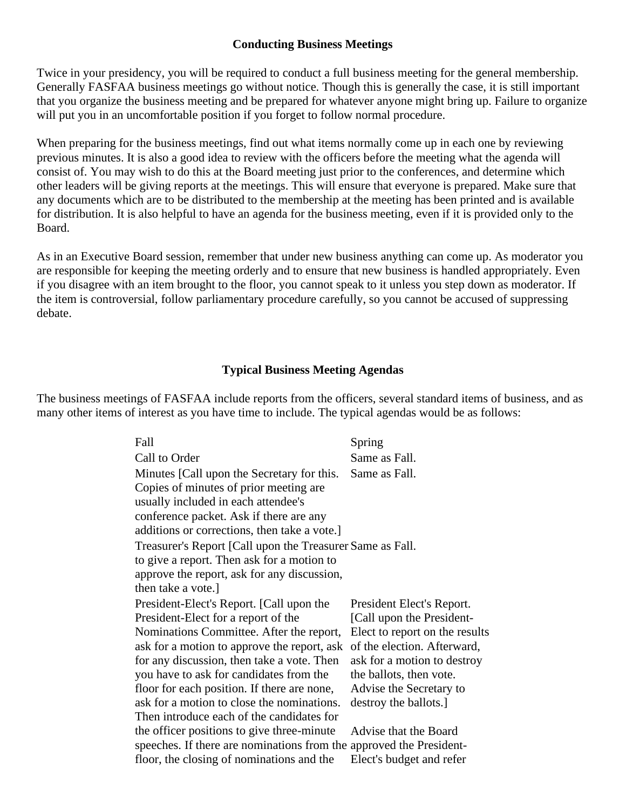#### **Conducting Business Meetings**

Twice in your presidency, you will be required to conduct a full business meeting for the general membership. Generally FASFAA business meetings go without notice. Though this is generally the case, it is still important that you organize the business meeting and be prepared for whatever anyone might bring up. Failure to organize will put you in an uncomfortable position if you forget to follow normal procedure.

When preparing for the business meetings, find out what items normally come up in each one by reviewing previous minutes. It is also a good idea to review with the officers before the meeting what the agenda will consist of. You may wish to do this at the Board meeting just prior to the conferences, and determine which other leaders will be giving reports at the meetings. This will ensure that everyone is prepared. Make sure that any documents which are to be distributed to the membership at the meeting has been printed and is available for distribution. It is also helpful to have an agenda for the business meeting, even if it is provided only to the Board.

As in an Executive Board session, remember that under new business anything can come up. As moderator you are responsible for keeping the meeting orderly and to ensure that new business is handled appropriately. Even if you disagree with an item brought to the floor, you cannot speak to it unless you step down as moderator. If the item is controversial, follow parliamentary procedure carefully, so you cannot be accused of suppressing debate.

#### **Typical Business Meeting Agendas**

The business meetings of FASFAA include reports from the officers, several standard items of business, and as many other items of interest as you have time to include. The typical agendas would be as follows:

| Fall                                                                | Spring                         |
|---------------------------------------------------------------------|--------------------------------|
| Call to Order                                                       | Same as Fall.                  |
| Minutes [Call upon the Secretary for this.                          | Same as Fall.                  |
| Copies of minutes of prior meeting are.                             |                                |
| usually included in each attendee's                                 |                                |
| conference packet. Ask if there are any                             |                                |
| additions or corrections, then take a vote.]                        |                                |
| Treasurer's Report [Call upon the Treasurer Same as Fall.           |                                |
| to give a report. Then ask for a motion to                          |                                |
| approve the report, ask for any discussion,                         |                                |
| then take a vote.]                                                  |                                |
| President-Elect's Report. [Call upon the                            | President Elect's Report.      |
| President-Elect for a report of the                                 | [Call upon the President-      |
| Nominations Committee. After the report,                            | Elect to report on the results |
| ask for a motion to approve the report, ask                         | of the election. Afterward,    |
| for any discussion, then take a vote. Then                          | ask for a motion to destroy    |
| you have to ask for candidates from the                             | the ballots, then vote.        |
| floor for each position. If there are none,                         | Advise the Secretary to        |
| ask for a motion to close the nominations.                          | destroy the ballots.]          |
| Then introduce each of the candidates for                           |                                |
| the officer positions to give three-minute                          | Advise that the Board          |
| speeches. If there are nominations from the approved the President- |                                |
| floor, the closing of nominations and the                           | Elect's budget and refer       |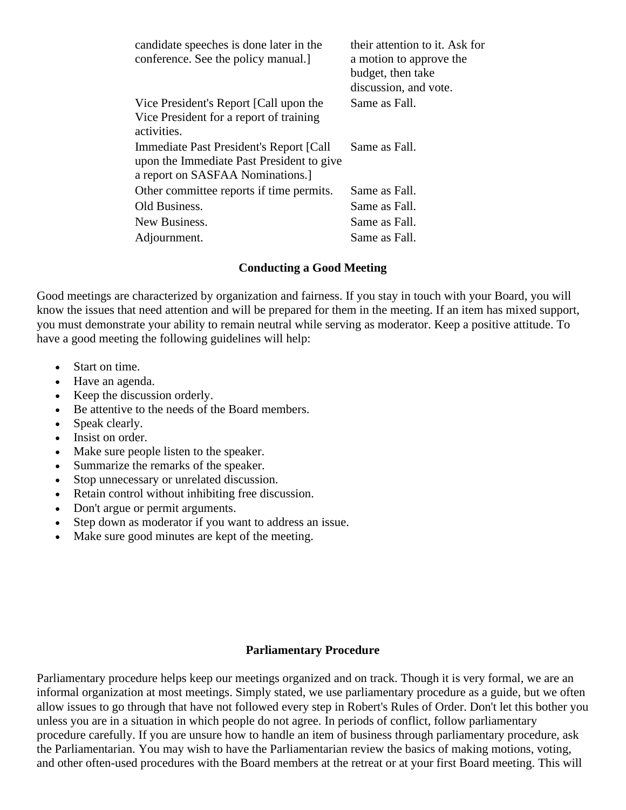| candidate speeches is done later in the<br>conference. See the policy manual.] | their attention to it. Ask for<br>a motion to approve the<br>budget, then take<br>discussion, and vote. |
|--------------------------------------------------------------------------------|---------------------------------------------------------------------------------------------------------|
| Vice President's Report [Call upon the                                         | Same as Fall.                                                                                           |
| Vice President for a report of training<br>activities.                         |                                                                                                         |
| Immediate Past President's Report [Call]                                       | Same as Fall.                                                                                           |
| upon the Immediate Past President to give                                      |                                                                                                         |
| a report on SASFAA Nominations.                                                |                                                                                                         |
| Other committee reports if time permits.                                       | Same as Fall.                                                                                           |
| Old Business.                                                                  | Same as Fall.                                                                                           |
| New Business.                                                                  | Same as Fall.                                                                                           |
| Adjournment.                                                                   | Same as Fall.                                                                                           |

#### **Conducting a Good Meeting**

Good meetings are characterized by organization and fairness. If you stay in touch with your Board, you will know the issues that need attention and will be prepared for them in the meeting. If an item has mixed support, you must demonstrate your ability to remain neutral while serving as moderator. Keep a positive attitude. To have a good meeting the following guidelines will help:

- Start on time.
- Have an agenda.
- Keep the discussion orderly.
- Be attentive to the needs of the Board members.
- Speak clearly.
- Insist on order.
- Make sure people listen to the speaker.
- Summarize the remarks of the speaker.
- Stop unnecessary or unrelated discussion.
- Retain control without inhibiting free discussion.
- Don't argue or permit arguments.
- Step down as moderator if you want to address an issue.
- Make sure good minutes are kept of the meeting.

## **Parliamentary Procedure**

Parliamentary procedure helps keep our meetings organized and on track. Though it is very formal, we are an informal organization at most meetings. Simply stated, we use parliamentary procedure as a guide, but we often allow issues to go through that have not followed every step in Robert's Rules of Order. Don't let this bother you unless you are in a situation in which people do not agree. In periods of conflict, follow parliamentary procedure carefully. If you are unsure how to handle an item of business through parliamentary procedure, ask the Parliamentarian. You may wish to have the Parliamentarian review the basics of making motions, voting, and other often-used procedures with the Board members at the retreat or at your first Board meeting. This will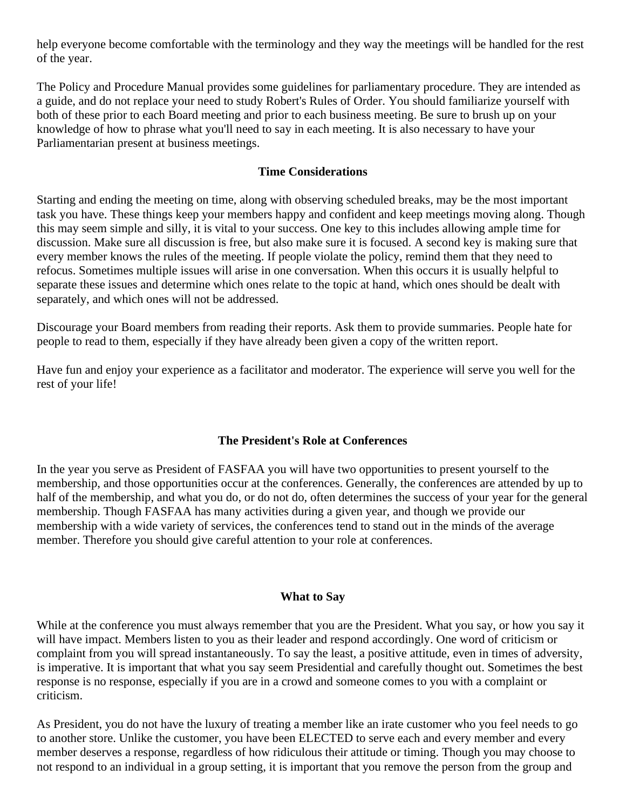help everyone become comfortable with the terminology and they way the meetings will be handled for the rest of the year.

The Policy and Procedure Manual provides some guidelines for parliamentary procedure. They are intended as a guide, and do not replace your need to study Robert's Rules of Order. You should familiarize yourself with both of these prior to each Board meeting and prior to each business meeting. Be sure to brush up on your knowledge of how to phrase what you'll need to say in each meeting. It is also necessary to have your Parliamentarian present at business meetings.

## **Time Considerations**

Starting and ending the meeting on time, along with observing scheduled breaks, may be the most important task you have. These things keep your members happy and confident and keep meetings moving along. Though this may seem simple and silly, it is vital to your success. One key to this includes allowing ample time for discussion. Make sure all discussion is free, but also make sure it is focused. A second key is making sure that every member knows the rules of the meeting. If people violate the policy, remind them that they need to refocus. Sometimes multiple issues will arise in one conversation. When this occurs it is usually helpful to separate these issues and determine which ones relate to the topic at hand, which ones should be dealt with separately, and which ones will not be addressed.

Discourage your Board members from reading their reports. Ask them to provide summaries. People hate for people to read to them, especially if they have already been given a copy of the written report.

Have fun and enjoy your experience as a facilitator and moderator. The experience will serve you well for the rest of your life!

## **The President's Role at Conferences**

In the year you serve as President of FASFAA you will have two opportunities to present yourself to the membership, and those opportunities occur at the conferences. Generally, the conferences are attended by up to half of the membership, and what you do, or do not do, often determines the success of your year for the general membership. Though FASFAA has many activities during a given year, and though we provide our membership with a wide variety of services, the conferences tend to stand out in the minds of the average member. Therefore you should give careful attention to your role at conferences.

#### **What to Say**

While at the conference you must always remember that you are the President. What you say, or how you say it will have impact. Members listen to you as their leader and respond accordingly. One word of criticism or complaint from you will spread instantaneously. To say the least, a positive attitude, even in times of adversity, is imperative. It is important that what you say seem Presidential and carefully thought out. Sometimes the best response is no response, especially if you are in a crowd and someone comes to you with a complaint or criticism.

As President, you do not have the luxury of treating a member like an irate customer who you feel needs to go to another store. Unlike the customer, you have been ELECTED to serve each and every member and every member deserves a response, regardless of how ridiculous their attitude or timing. Though you may choose to not respond to an individual in a group setting, it is important that you remove the person from the group and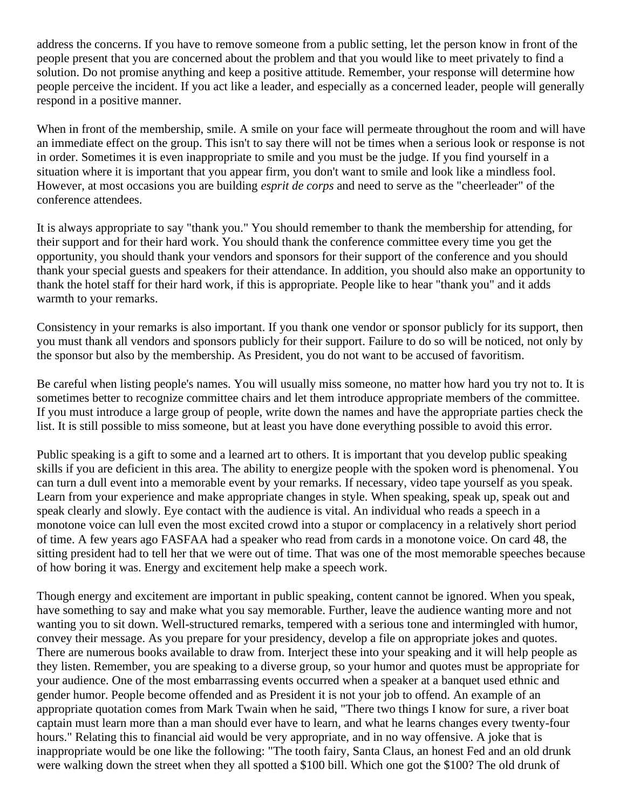address the concerns. If you have to remove someone from a public setting, let the person know in front of the people present that you are concerned about the problem and that you would like to meet privately to find a solution. Do not promise anything and keep a positive attitude. Remember, your response will determine how people perceive the incident. If you act like a leader, and especially as a concerned leader, people will generally respond in a positive manner.

When in front of the membership, smile. A smile on your face will permeate throughout the room and will have an immediate effect on the group. This isn't to say there will not be times when a serious look or response is not in order. Sometimes it is even inappropriate to smile and you must be the judge. If you find yourself in a situation where it is important that you appear firm, you don't want to smile and look like a mindless fool. However, at most occasions you are building *esprit de corps* and need to serve as the "cheerleader" of the conference attendees.

It is always appropriate to say "thank you." You should remember to thank the membership for attending, for their support and for their hard work. You should thank the conference committee every time you get the opportunity, you should thank your vendors and sponsors for their support of the conference and you should thank your special guests and speakers for their attendance. In addition, you should also make an opportunity to thank the hotel staff for their hard work, if this is appropriate. People like to hear "thank you" and it adds warmth to your remarks.

Consistency in your remarks is also important. If you thank one vendor or sponsor publicly for its support, then you must thank all vendors and sponsors publicly for their support. Failure to do so will be noticed, not only by the sponsor but also by the membership. As President, you do not want to be accused of favoritism.

Be careful when listing people's names. You will usually miss someone, no matter how hard you try not to. It is sometimes better to recognize committee chairs and let them introduce appropriate members of the committee. If you must introduce a large group of people, write down the names and have the appropriate parties check the list. It is still possible to miss someone, but at least you have done everything possible to avoid this error.

Public speaking is a gift to some and a learned art to others. It is important that you develop public speaking skills if you are deficient in this area. The ability to energize people with the spoken word is phenomenal. You can turn a dull event into a memorable event by your remarks. If necessary, video tape yourself as you speak. Learn from your experience and make appropriate changes in style. When speaking, speak up, speak out and speak clearly and slowly. Eye contact with the audience is vital. An individual who reads a speech in a monotone voice can lull even the most excited crowd into a stupor or complacency in a relatively short period of time. A few years ago FASFAA had a speaker who read from cards in a monotone voice. On card 48, the sitting president had to tell her that we were out of time. That was one of the most memorable speeches because of how boring it was. Energy and excitement help make a speech work.

Though energy and excitement are important in public speaking, content cannot be ignored. When you speak, have something to say and make what you say memorable. Further, leave the audience wanting more and not wanting you to sit down. Well-structured remarks, tempered with a serious tone and intermingled with humor, convey their message. As you prepare for your presidency, develop a file on appropriate jokes and quotes. There are numerous books available to draw from. Interject these into your speaking and it will help people as they listen. Remember, you are speaking to a diverse group, so your humor and quotes must be appropriate for your audience. One of the most embarrassing events occurred when a speaker at a banquet used ethnic and gender humor. People become offended and as President it is not your job to offend. An example of an appropriate quotation comes from Mark Twain when he said, "There two things I know for sure, a river boat captain must learn more than a man should ever have to learn, and what he learns changes every twenty-four hours." Relating this to financial aid would be very appropriate, and in no way offensive. A joke that is inappropriate would be one like the following: "The tooth fairy, Santa Claus, an honest Fed and an old drunk were walking down the street when they all spotted a \$100 bill. Which one got the \$100? The old drunk of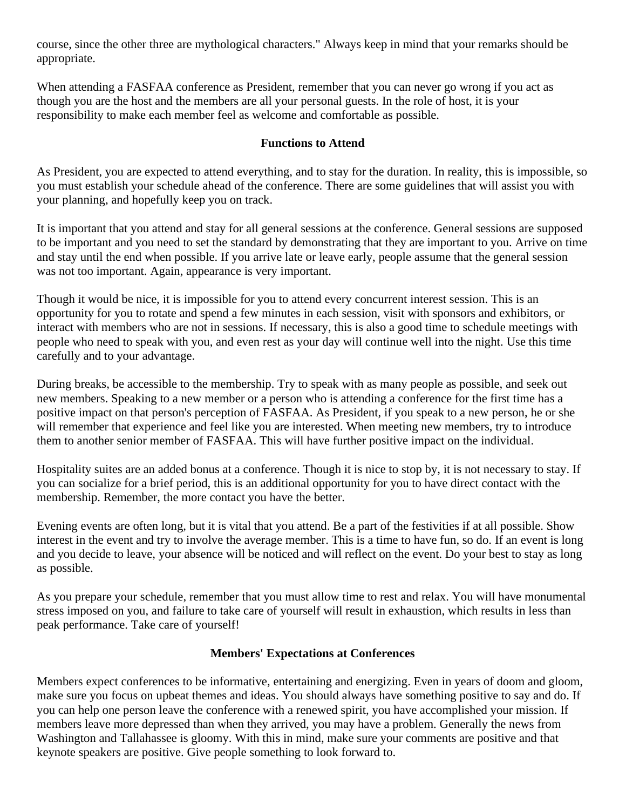course, since the other three are mythological characters." Always keep in mind that your remarks should be appropriate.

When attending a FASFAA conference as President, remember that you can never go wrong if you act as though you are the host and the members are all your personal guests. In the role of host, it is your responsibility to make each member feel as welcome and comfortable as possible.

## **Functions to Attend**

As President, you are expected to attend everything, and to stay for the duration. In reality, this is impossible, so you must establish your schedule ahead of the conference. There are some guidelines that will assist you with your planning, and hopefully keep you on track.

It is important that you attend and stay for all general sessions at the conference. General sessions are supposed to be important and you need to set the standard by demonstrating that they are important to you. Arrive on time and stay until the end when possible. If you arrive late or leave early, people assume that the general session was not too important. Again, appearance is very important.

Though it would be nice, it is impossible for you to attend every concurrent interest session. This is an opportunity for you to rotate and spend a few minutes in each session, visit with sponsors and exhibitors, or interact with members who are not in sessions. If necessary, this is also a good time to schedule meetings with people who need to speak with you, and even rest as your day will continue well into the night. Use this time carefully and to your advantage.

During breaks, be accessible to the membership. Try to speak with as many people as possible, and seek out new members. Speaking to a new member or a person who is attending a conference for the first time has a positive impact on that person's perception of FASFAA. As President, if you speak to a new person, he or she will remember that experience and feel like you are interested. When meeting new members, try to introduce them to another senior member of FASFAA. This will have further positive impact on the individual.

Hospitality suites are an added bonus at a conference. Though it is nice to stop by, it is not necessary to stay. If you can socialize for a brief period, this is an additional opportunity for you to have direct contact with the membership. Remember, the more contact you have the better.

Evening events are often long, but it is vital that you attend. Be a part of the festivities if at all possible. Show interest in the event and try to involve the average member. This is a time to have fun, so do. If an event is long and you decide to leave, your absence will be noticed and will reflect on the event. Do your best to stay as long as possible.

As you prepare your schedule, remember that you must allow time to rest and relax. You will have monumental stress imposed on you, and failure to take care of yourself will result in exhaustion, which results in less than peak performance. Take care of yourself!

#### **Members' Expectations at Conferences**

Members expect conferences to be informative, entertaining and energizing. Even in years of doom and gloom, make sure you focus on upbeat themes and ideas. You should always have something positive to say and do. If you can help one person leave the conference with a renewed spirit, you have accomplished your mission. If members leave more depressed than when they arrived, you may have a problem. Generally the news from Washington and Tallahassee is gloomy. With this in mind, make sure your comments are positive and that keynote speakers are positive. Give people something to look forward to.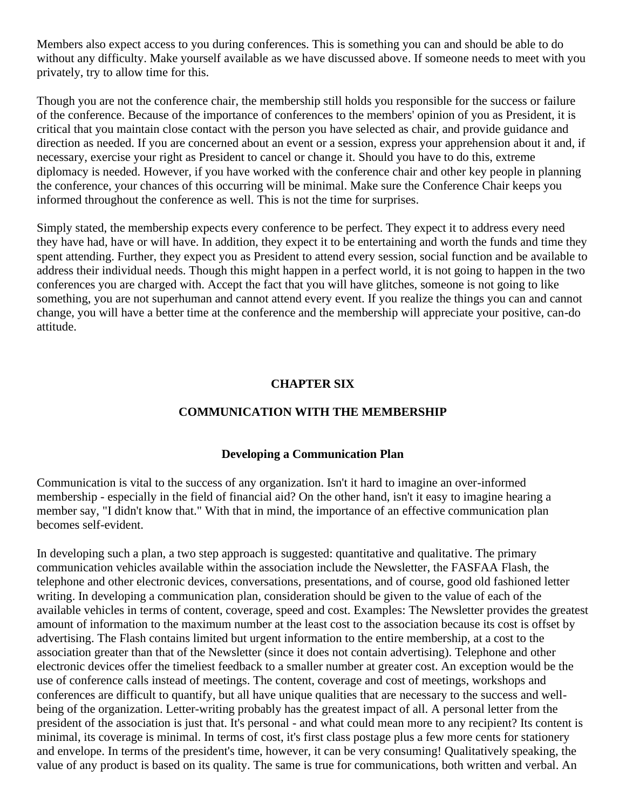Members also expect access to you during conferences. This is something you can and should be able to do without any difficulty. Make yourself available as we have discussed above. If someone needs to meet with you privately, try to allow time for this.

Though you are not the conference chair, the membership still holds you responsible for the success or failure of the conference. Because of the importance of conferences to the members' opinion of you as President, it is critical that you maintain close contact with the person you have selected as chair, and provide guidance and direction as needed. If you are concerned about an event or a session, express your apprehension about it and, if necessary, exercise your right as President to cancel or change it. Should you have to do this, extreme diplomacy is needed. However, if you have worked with the conference chair and other key people in planning the conference, your chances of this occurring will be minimal. Make sure the Conference Chair keeps you informed throughout the conference as well. This is not the time for surprises.

Simply stated, the membership expects every conference to be perfect. They expect it to address every need they have had, have or will have. In addition, they expect it to be entertaining and worth the funds and time they spent attending. Further, they expect you as President to attend every session, social function and be available to address their individual needs. Though this might happen in a perfect world, it is not going to happen in the two conferences you are charged with. Accept the fact that you will have glitches, someone is not going to like something, you are not superhuman and cannot attend every event. If you realize the things you can and cannot change, you will have a better time at the conference and the membership will appreciate your positive, can-do attitude.

#### **CHAPTER SIX**

## **COMMUNICATION WITH THE MEMBERSHIP**

#### **Developing a Communication Plan**

Communication is vital to the success of any organization. Isn't it hard to imagine an over-informed membership - especially in the field of financial aid? On the other hand, isn't it easy to imagine hearing a member say, "I didn't know that." With that in mind, the importance of an effective communication plan becomes self-evident.

In developing such a plan, a two step approach is suggested: quantitative and qualitative. The primary communication vehicles available within the association include the Newsletter, the FASFAA Flash, the telephone and other electronic devices, conversations, presentations, and of course, good old fashioned letter writing. In developing a communication plan, consideration should be given to the value of each of the available vehicles in terms of content, coverage, speed and cost. Examples: The Newsletter provides the greatest amount of information to the maximum number at the least cost to the association because its cost is offset by advertising. The Flash contains limited but urgent information to the entire membership, at a cost to the association greater than that of the Newsletter (since it does not contain advertising). Telephone and other electronic devices offer the timeliest feedback to a smaller number at greater cost. An exception would be the use of conference calls instead of meetings. The content, coverage and cost of meetings, workshops and conferences are difficult to quantify, but all have unique qualities that are necessary to the success and wellbeing of the organization. Letter-writing probably has the greatest impact of all. A personal letter from the president of the association is just that. It's personal - and what could mean more to any recipient? Its content is minimal, its coverage is minimal. In terms of cost, it's first class postage plus a few more cents for stationery and envelope. In terms of the president's time, however, it can be very consuming! Qualitatively speaking, the value of any product is based on its quality. The same is true for communications, both written and verbal. An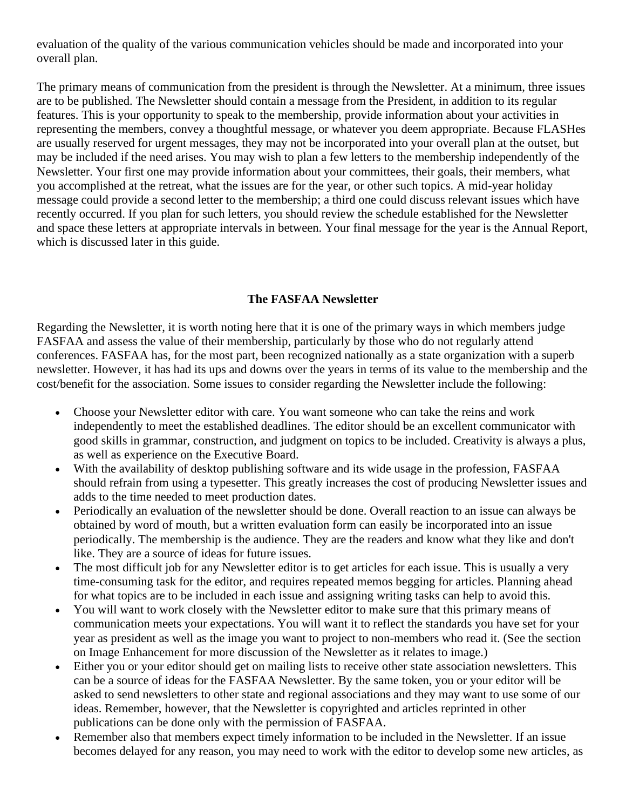evaluation of the quality of the various communication vehicles should be made and incorporated into your overall plan.

The primary means of communication from the president is through the Newsletter. At a minimum, three issues are to be published. The Newsletter should contain a message from the President, in addition to its regular features. This is your opportunity to speak to the membership, provide information about your activities in representing the members, convey a thoughtful message, or whatever you deem appropriate. Because FLASHes are usually reserved for urgent messages, they may not be incorporated into your overall plan at the outset, but may be included if the need arises. You may wish to plan a few letters to the membership independently of the Newsletter. Your first one may provide information about your committees, their goals, their members, what you accomplished at the retreat, what the issues are for the year, or other such topics. A mid-year holiday message could provide a second letter to the membership; a third one could discuss relevant issues which have recently occurred. If you plan for such letters, you should review the schedule established for the Newsletter and space these letters at appropriate intervals in between. Your final message for the year is the Annual Report, which is discussed later in this guide.

## **The FASFAA Newsletter**

Regarding the Newsletter, it is worth noting here that it is one of the primary ways in which members judge FASFAA and assess the value of their membership, particularly by those who do not regularly attend conferences. FASFAA has, for the most part, been recognized nationally as a state organization with a superb newsletter. However, it has had its ups and downs over the years in terms of its value to the membership and the cost/benefit for the association. Some issues to consider regarding the Newsletter include the following:

- Choose your Newsletter editor with care. You want someone who can take the reins and work independently to meet the established deadlines. The editor should be an excellent communicator with good skills in grammar, construction, and judgment on topics to be included. Creativity is always a plus, as well as experience on the Executive Board.
- With the availability of desktop publishing software and its wide usage in the profession, FASFAA should refrain from using a typesetter. This greatly increases the cost of producing Newsletter issues and adds to the time needed to meet production dates.
- Periodically an evaluation of the newsletter should be done. Overall reaction to an issue can always be obtained by word of mouth, but a written evaluation form can easily be incorporated into an issue periodically. The membership is the audience. They are the readers and know what they like and don't like. They are a source of ideas for future issues.
- The most difficult job for any Newsletter editor is to get articles for each issue. This is usually a very time-consuming task for the editor, and requires repeated memos begging for articles. Planning ahead for what topics are to be included in each issue and assigning writing tasks can help to avoid this.
- You will want to work closely with the Newsletter editor to make sure that this primary means of communication meets your expectations. You will want it to reflect the standards you have set for your year as president as well as the image you want to project to non-members who read it. (See the section on Image Enhancement for more discussion of the Newsletter as it relates to image.)
- Either you or your editor should get on mailing lists to receive other state association newsletters. This can be a source of ideas for the FASFAA Newsletter. By the same token, you or your editor will be asked to send newsletters to other state and regional associations and they may want to use some of our ideas. Remember, however, that the Newsletter is copyrighted and articles reprinted in other publications can be done only with the permission of FASFAA.
- Remember also that members expect timely information to be included in the Newsletter. If an issue becomes delayed for any reason, you may need to work with the editor to develop some new articles, as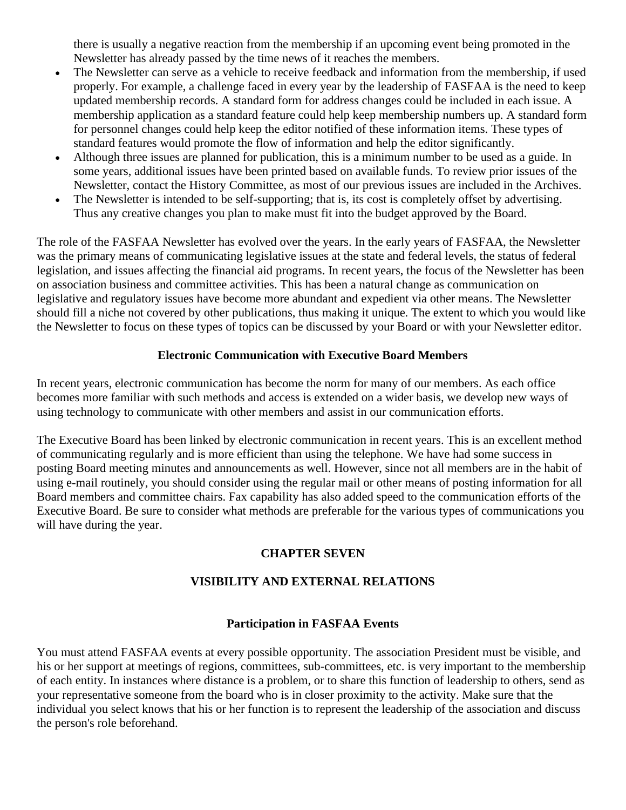there is usually a negative reaction from the membership if an upcoming event being promoted in the Newsletter has already passed by the time news of it reaches the members.

- The Newsletter can serve as a vehicle to receive feedback and information from the membership, if used properly. For example, a challenge faced in every year by the leadership of FASFAA is the need to keep updated membership records. A standard form for address changes could be included in each issue. A membership application as a standard feature could help keep membership numbers up. A standard form for personnel changes could help keep the editor notified of these information items. These types of standard features would promote the flow of information and help the editor significantly.
- Although three issues are planned for publication, this is a minimum number to be used as a guide. In some years, additional issues have been printed based on available funds. To review prior issues of the Newsletter, contact the History Committee, as most of our previous issues are included in the Archives.
- The Newsletter is intended to be self-supporting; that is, its cost is completely offset by advertising. Thus any creative changes you plan to make must fit into the budget approved by the Board.

The role of the FASFAA Newsletter has evolved over the years. In the early years of FASFAA, the Newsletter was the primary means of communicating legislative issues at the state and federal levels, the status of federal legislation, and issues affecting the financial aid programs. In recent years, the focus of the Newsletter has been on association business and committee activities. This has been a natural change as communication on legislative and regulatory issues have become more abundant and expedient via other means. The Newsletter should fill a niche not covered by other publications, thus making it unique. The extent to which you would like the Newsletter to focus on these types of topics can be discussed by your Board or with your Newsletter editor.

## **Electronic Communication with Executive Board Members**

In recent years, electronic communication has become the norm for many of our members. As each office becomes more familiar with such methods and access is extended on a wider basis, we develop new ways of using technology to communicate with other members and assist in our communication efforts.

The Executive Board has been linked by electronic communication in recent years. This is an excellent method of communicating regularly and is more efficient than using the telephone. We have had some success in posting Board meeting minutes and announcements as well. However, since not all members are in the habit of using e-mail routinely, you should consider using the regular mail or other means of posting information for all Board members and committee chairs. Fax capability has also added speed to the communication efforts of the Executive Board. Be sure to consider what methods are preferable for the various types of communications you will have during the year.

## **CHAPTER SEVEN**

## **VISIBILITY AND EXTERNAL RELATIONS**

## **Participation in FASFAA Events**

You must attend FASFAA events at every possible opportunity. The association President must be visible, and his or her support at meetings of regions, committees, sub-committees, etc. is very important to the membership of each entity. In instances where distance is a problem, or to share this function of leadership to others, send as your representative someone from the board who is in closer proximity to the activity. Make sure that the individual you select knows that his or her function is to represent the leadership of the association and discuss the person's role beforehand.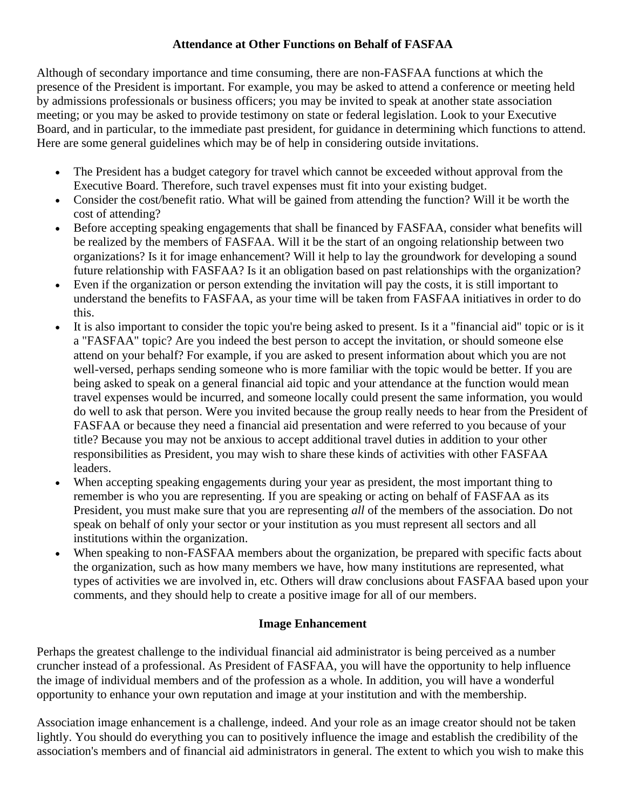# **Attendance at Other Functions on Behalf of FASFAA**

Although of secondary importance and time consuming, there are non-FASFAA functions at which the presence of the President is important. For example, you may be asked to attend a conference or meeting held by admissions professionals or business officers; you may be invited to speak at another state association meeting; or you may be asked to provide testimony on state or federal legislation. Look to your Executive Board, and in particular, to the immediate past president, for guidance in determining which functions to attend. Here are some general guidelines which may be of help in considering outside invitations.

- The President has a budget category for travel which cannot be exceeded without approval from the Executive Board. Therefore, such travel expenses must fit into your existing budget.
- Consider the cost/benefit ratio. What will be gained from attending the function? Will it be worth the cost of attending?
- Before accepting speaking engagements that shall be financed by FASFAA, consider what benefits will be realized by the members of FASFAA. Will it be the start of an ongoing relationship between two organizations? Is it for image enhancement? Will it help to lay the groundwork for developing a sound future relationship with FASFAA? Is it an obligation based on past relationships with the organization?
- Even if the organization or person extending the invitation will pay the costs, it is still important to understand the benefits to FASFAA, as your time will be taken from FASFAA initiatives in order to do this.
- It is also important to consider the topic you're being asked to present. Is it a "financial aid" topic or is it a "FASFAA" topic? Are you indeed the best person to accept the invitation, or should someone else attend on your behalf? For example, if you are asked to present information about which you are not well-versed, perhaps sending someone who is more familiar with the topic would be better. If you are being asked to speak on a general financial aid topic and your attendance at the function would mean travel expenses would be incurred, and someone locally could present the same information, you would do well to ask that person. Were you invited because the group really needs to hear from the President of FASFAA or because they need a financial aid presentation and were referred to you because of your title? Because you may not be anxious to accept additional travel duties in addition to your other responsibilities as President, you may wish to share these kinds of activities with other FASFAA leaders.
- When accepting speaking engagements during your year as president, the most important thing to remember is who you are representing. If you are speaking or acting on behalf of FASFAA as its President, you must make sure that you are representing *all* of the members of the association. Do not speak on behalf of only your sector or your institution as you must represent all sectors and all institutions within the organization.
- When speaking to non-FASFAA members about the organization, be prepared with specific facts about the organization, such as how many members we have, how many institutions are represented, what types of activities we are involved in, etc. Others will draw conclusions about FASFAA based upon your comments, and they should help to create a positive image for all of our members.

## **Image Enhancement**

Perhaps the greatest challenge to the individual financial aid administrator is being perceived as a number cruncher instead of a professional. As President of FASFAA, you will have the opportunity to help influence the image of individual members and of the profession as a whole. In addition, you will have a wonderful opportunity to enhance your own reputation and image at your institution and with the membership.

Association image enhancement is a challenge, indeed. And your role as an image creator should not be taken lightly. You should do everything you can to positively influence the image and establish the credibility of the association's members and of financial aid administrators in general. The extent to which you wish to make this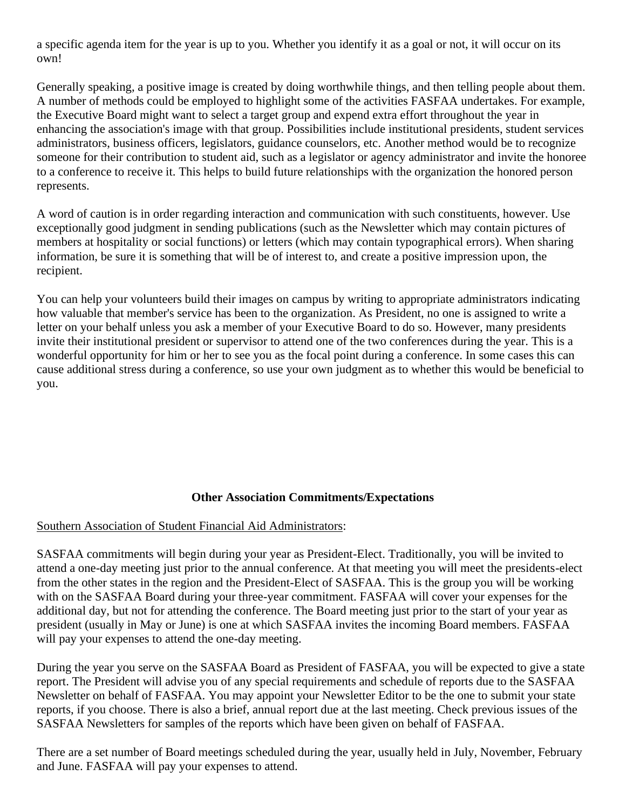a specific agenda item for the year is up to you. Whether you identify it as a goal or not, it will occur on its own!

Generally speaking, a positive image is created by doing worthwhile things, and then telling people about them. A number of methods could be employed to highlight some of the activities FASFAA undertakes. For example, the Executive Board might want to select a target group and expend extra effort throughout the year in enhancing the association's image with that group. Possibilities include institutional presidents, student services administrators, business officers, legislators, guidance counselors, etc. Another method would be to recognize someone for their contribution to student aid, such as a legislator or agency administrator and invite the honoree to a conference to receive it. This helps to build future relationships with the organization the honored person represents.

A word of caution is in order regarding interaction and communication with such constituents, however. Use exceptionally good judgment in sending publications (such as the Newsletter which may contain pictures of members at hospitality or social functions) or letters (which may contain typographical errors). When sharing information, be sure it is something that will be of interest to, and create a positive impression upon, the recipient.

You can help your volunteers build their images on campus by writing to appropriate administrators indicating how valuable that member's service has been to the organization. As President, no one is assigned to write a letter on your behalf unless you ask a member of your Executive Board to do so. However, many presidents invite their institutional president or supervisor to attend one of the two conferences during the year. This is a wonderful opportunity for him or her to see you as the focal point during a conference. In some cases this can cause additional stress during a conference, so use your own judgment as to whether this would be beneficial to you.

## **Other Association Commitments/Expectations**

#### Southern Association of Student Financial Aid Administrators:

SASFAA commitments will begin during your year as President-Elect. Traditionally, you will be invited to attend a one-day meeting just prior to the annual conference. At that meeting you will meet the presidents-elect from the other states in the region and the President-Elect of SASFAA. This is the group you will be working with on the SASFAA Board during your three-year commitment. FASFAA will cover your expenses for the additional day, but not for attending the conference. The Board meeting just prior to the start of your year as president (usually in May or June) is one at which SASFAA invites the incoming Board members. FASFAA will pay your expenses to attend the one-day meeting.

During the year you serve on the SASFAA Board as President of FASFAA, you will be expected to give a state report. The President will advise you of any special requirements and schedule of reports due to the SASFAA Newsletter on behalf of FASFAA. You may appoint your Newsletter Editor to be the one to submit your state reports, if you choose. There is also a brief, annual report due at the last meeting. Check previous issues of the SASFAA Newsletters for samples of the reports which have been given on behalf of FASFAA.

There are a set number of Board meetings scheduled during the year, usually held in July, November, February and June. FASFAA will pay your expenses to attend.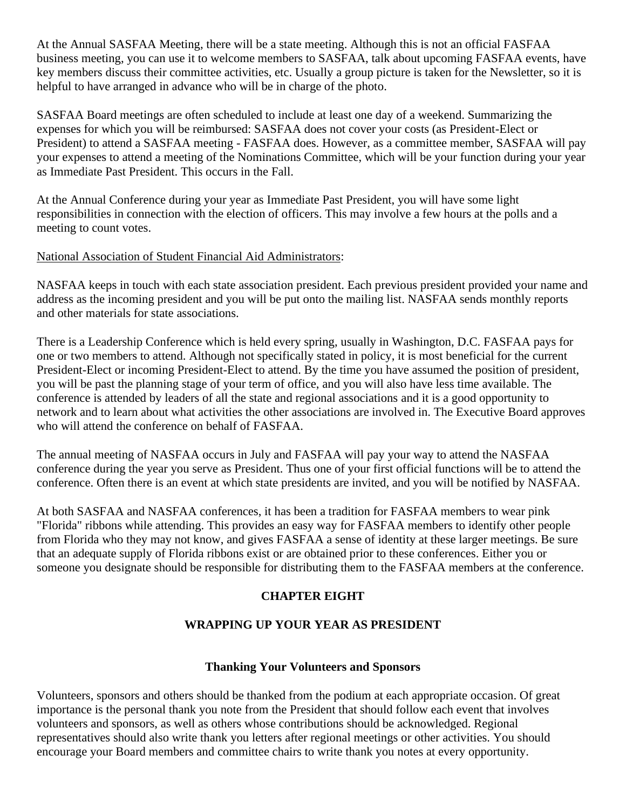At the Annual SASFAA Meeting, there will be a state meeting. Although this is not an official FASFAA business meeting, you can use it to welcome members to SASFAA, talk about upcoming FASFAA events, have key members discuss their committee activities, etc. Usually a group picture is taken for the Newsletter, so it is helpful to have arranged in advance who will be in charge of the photo.

SASFAA Board meetings are often scheduled to include at least one day of a weekend. Summarizing the expenses for which you will be reimbursed: SASFAA does not cover your costs (as President-Elect or President) to attend a SASFAA meeting - FASFAA does. However, as a committee member, SASFAA will pay your expenses to attend a meeting of the Nominations Committee, which will be your function during your year as Immediate Past President. This occurs in the Fall.

At the Annual Conference during your year as Immediate Past President, you will have some light responsibilities in connection with the election of officers. This may involve a few hours at the polls and a meeting to count votes.

## National Association of Student Financial Aid Administrators:

NASFAA keeps in touch with each state association president. Each previous president provided your name and address as the incoming president and you will be put onto the mailing list. NASFAA sends monthly reports and other materials for state associations.

There is a Leadership Conference which is held every spring, usually in Washington, D.C. FASFAA pays for one or two members to attend. Although not specifically stated in policy, it is most beneficial for the current President-Elect or incoming President-Elect to attend. By the time you have assumed the position of president, you will be past the planning stage of your term of office, and you will also have less time available. The conference is attended by leaders of all the state and regional associations and it is a good opportunity to network and to learn about what activities the other associations are involved in. The Executive Board approves who will attend the conference on behalf of FASFAA.

The annual meeting of NASFAA occurs in July and FASFAA will pay your way to attend the NASFAA conference during the year you serve as President. Thus one of your first official functions will be to attend the conference. Often there is an event at which state presidents are invited, and you will be notified by NASFAA.

At both SASFAA and NASFAA conferences, it has been a tradition for FASFAA members to wear pink "Florida" ribbons while attending. This provides an easy way for FASFAA members to identify other people from Florida who they may not know, and gives FASFAA a sense of identity at these larger meetings. Be sure that an adequate supply of Florida ribbons exist or are obtained prior to these conferences. Either you or someone you designate should be responsible for distributing them to the FASFAA members at the conference.

# **CHAPTER EIGHT**

# **WRAPPING UP YOUR YEAR AS PRESIDENT**

## **Thanking Your Volunteers and Sponsors**

Volunteers, sponsors and others should be thanked from the podium at each appropriate occasion. Of great importance is the personal thank you note from the President that should follow each event that involves volunteers and sponsors, as well as others whose contributions should be acknowledged. Regional representatives should also write thank you letters after regional meetings or other activities. You should encourage your Board members and committee chairs to write thank you notes at every opportunity.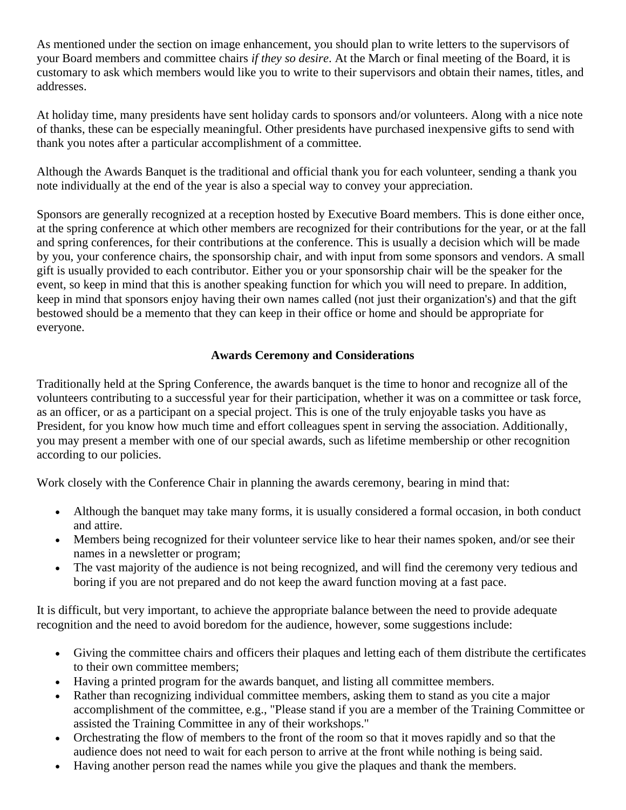As mentioned under the section on image enhancement, you should plan to write letters to the supervisors of your Board members and committee chairs *if they so desire*. At the March or final meeting of the Board, it is customary to ask which members would like you to write to their supervisors and obtain their names, titles, and addresses.

At holiday time, many presidents have sent holiday cards to sponsors and/or volunteers. Along with a nice note of thanks, these can be especially meaningful. Other presidents have purchased inexpensive gifts to send with thank you notes after a particular accomplishment of a committee.

Although the Awards Banquet is the traditional and official thank you for each volunteer, sending a thank you note individually at the end of the year is also a special way to convey your appreciation.

Sponsors are generally recognized at a reception hosted by Executive Board members. This is done either once, at the spring conference at which other members are recognized for their contributions for the year, or at the fall and spring conferences, for their contributions at the conference. This is usually a decision which will be made by you, your conference chairs, the sponsorship chair, and with input from some sponsors and vendors. A small gift is usually provided to each contributor. Either you or your sponsorship chair will be the speaker for the event, so keep in mind that this is another speaking function for which you will need to prepare. In addition, keep in mind that sponsors enjoy having their own names called (not just their organization's) and that the gift bestowed should be a memento that they can keep in their office or home and should be appropriate for everyone.

## **Awards Ceremony and Considerations**

Traditionally held at the Spring Conference, the awards banquet is the time to honor and recognize all of the volunteers contributing to a successful year for their participation, whether it was on a committee or task force, as an officer, or as a participant on a special project. This is one of the truly enjoyable tasks you have as President, for you know how much time and effort colleagues spent in serving the association. Additionally, you may present a member with one of our special awards, such as lifetime membership or other recognition according to our policies.

Work closely with the Conference Chair in planning the awards ceremony, bearing in mind that:

- Although the banquet may take many forms, it is usually considered a formal occasion, in both conduct and attire.
- Members being recognized for their volunteer service like to hear their names spoken, and/or see their names in a newsletter or program;
- The vast majority of the audience is not being recognized, and will find the ceremony very tedious and boring if you are not prepared and do not keep the award function moving at a fast pace.

It is difficult, but very important, to achieve the appropriate balance between the need to provide adequate recognition and the need to avoid boredom for the audience, however, some suggestions include:

- Giving the committee chairs and officers their plaques and letting each of them distribute the certificates to their own committee members;
- Having a printed program for the awards banquet, and listing all committee members.
- Rather than recognizing individual committee members, asking them to stand as you cite a major accomplishment of the committee, e.g., "Please stand if you are a member of the Training Committee or assisted the Training Committee in any of their workshops."
- Orchestrating the flow of members to the front of the room so that it moves rapidly and so that the audience does not need to wait for each person to arrive at the front while nothing is being said.
- Having another person read the names while you give the plaques and thank the members.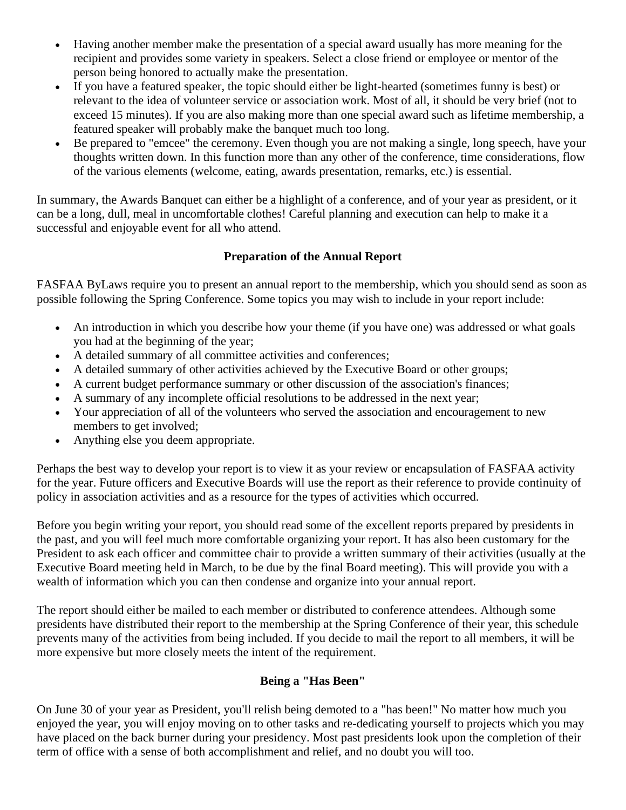- Having another member make the presentation of a special award usually has more meaning for the recipient and provides some variety in speakers. Select a close friend or employee or mentor of the person being honored to actually make the presentation.
- If you have a featured speaker, the topic should either be light-hearted (sometimes funny is best) or relevant to the idea of volunteer service or association work. Most of all, it should be very brief (not to exceed 15 minutes). If you are also making more than one special award such as lifetime membership, a featured speaker will probably make the banquet much too long.
- Be prepared to "emcee" the ceremony. Even though you are not making a single, long speech, have your thoughts written down. In this function more than any other of the conference, time considerations, flow of the various elements (welcome, eating, awards presentation, remarks, etc.) is essential.

In summary, the Awards Banquet can either be a highlight of a conference, and of your year as president, or it can be a long, dull, meal in uncomfortable clothes! Careful planning and execution can help to make it a successful and enjoyable event for all who attend.

# **Preparation of the Annual Report**

FASFAA ByLaws require you to present an annual report to the membership, which you should send as soon as possible following the Spring Conference. Some topics you may wish to include in your report include:

- An introduction in which you describe how your theme (if you have one) was addressed or what goals you had at the beginning of the year;
- A detailed summary of all committee activities and conferences;
- A detailed summary of other activities achieved by the Executive Board or other groups;
- A current budget performance summary or other discussion of the association's finances;
- A summary of any incomplete official resolutions to be addressed in the next year;
- Your appreciation of all of the volunteers who served the association and encouragement to new members to get involved;
- Anything else you deem appropriate.

Perhaps the best way to develop your report is to view it as your review or encapsulation of FASFAA activity for the year. Future officers and Executive Boards will use the report as their reference to provide continuity of policy in association activities and as a resource for the types of activities which occurred.

Before you begin writing your report, you should read some of the excellent reports prepared by presidents in the past, and you will feel much more comfortable organizing your report. It has also been customary for the President to ask each officer and committee chair to provide a written summary of their activities (usually at the Executive Board meeting held in March, to be due by the final Board meeting). This will provide you with a wealth of information which you can then condense and organize into your annual report.

The report should either be mailed to each member or distributed to conference attendees. Although some presidents have distributed their report to the membership at the Spring Conference of their year, this schedule prevents many of the activities from being included. If you decide to mail the report to all members, it will be more expensive but more closely meets the intent of the requirement.

# **Being a "Has Been"**

On June 30 of your year as President, you'll relish being demoted to a "has been!" No matter how much you enjoyed the year, you will enjoy moving on to other tasks and re-dedicating yourself to projects which you may have placed on the back burner during your presidency. Most past presidents look upon the completion of their term of office with a sense of both accomplishment and relief, and no doubt you will too.